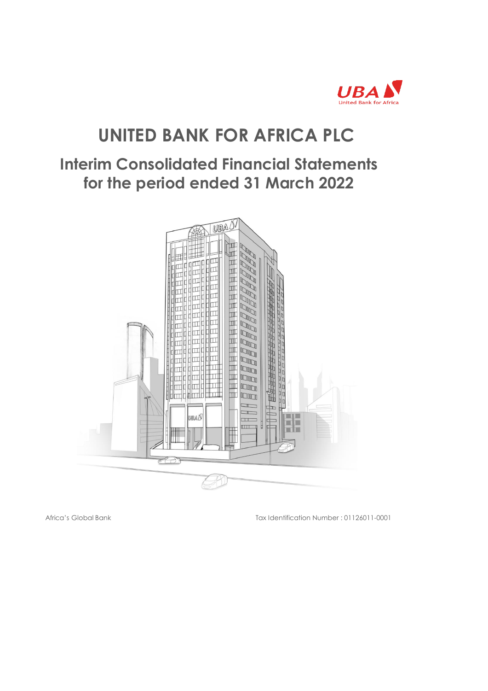

# **UNITED BANK FOR AFRICA PLC**

# **Interim Consolidated Financial Statements for the period ended 31 March 2022**



Africa's Global Bank Tax Identification Number : 01126011-0001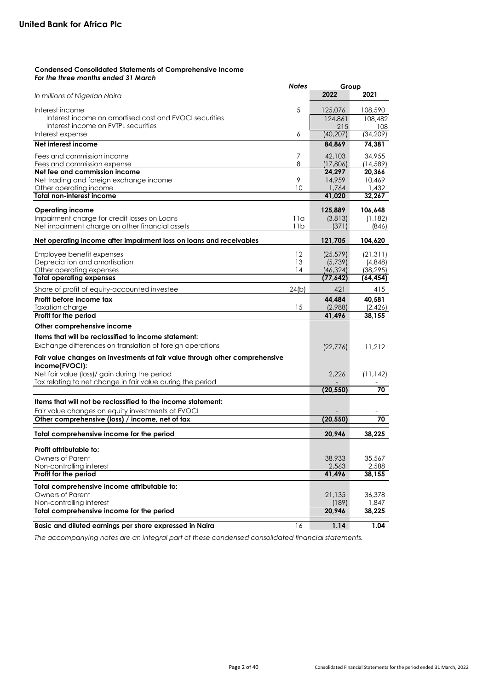# **Condensed Consolidated Statements of Comprehensive Income** *For the three months ended 31 March*

|                                                                             | <b>Notes</b> | Group     |           |
|-----------------------------------------------------------------------------|--------------|-----------|-----------|
| In millions of Nigerian Naira                                               |              | 2022      | 2021      |
| Interest income                                                             | 5            | 125,076   | 108,590   |
| Interest income on amortised cost and FVOCI securities                      |              | 124,861   | 108,482   |
| Interest income on FVTPL securities                                         |              | 215       | 108       |
| Interest expense                                                            | 6            | (40, 207) | (34, 209) |
| Net interest income                                                         |              | 84,869    | 74,381    |
| Fees and commission income                                                  | 7            | 42,103    | 34,955    |
| Fees and commission expense                                                 | 8            | (17,806)  | (14, 589) |
| Net fee and commission income                                               |              | 24,297    | 20,366    |
| Net trading and foreign exchange income                                     | 9            | 14,959    | 10,469    |
| Other operating income                                                      | 10           | 1,764     | 1,432     |
| <b>Total non-interest income</b>                                            |              | 41,020    | 32,267    |
| <b>Operating income</b>                                                     |              | 125,889   | 106,648   |
| Impairment charge for credit losses on Loans                                | 11a          | (3,813)   | (1, 182)  |
| Net impairment charge on other financial assets                             | 11b          | (371)     | (846)     |
| Net operating income after impairment loss on loans and receivables         |              | 121,705   | 104,620   |
| Employee benefit expenses                                                   | $12 \,$      | (25, 579) | (21, 311) |
| Depreciation and amortisation                                               | 13           | (5,739)   | (4,848)   |
| Other operating expenses                                                    | 14           | (46, 324) | (38, 295) |
| <b>Total operating expenses</b>                                             |              | (77, 642) | (64, 454) |
| Share of profit of equity-accounted investee                                | 24(b)        | 421       | 415       |
| Profit before income tax                                                    |              | 44,484    | 40,581    |
| Taxation charge                                                             | 15           | (2,988)   | (2,426)   |
| Profit for the period                                                       |              | 41,496    | 38,155    |
| Other comprehensive income                                                  |              |           |           |
| Items that will be reclassified to income statement:                        |              |           |           |
| Exchange differences on translation of foreign operations                   |              | (22, 776) | 11,212    |
| Fair value changes on investments at fair value through other comprehensive |              |           |           |
| income(FVOCI):                                                              |              |           |           |
| Net fair value (loss)/ gain during the period                               |              | 2,226     | (11, 142) |
| Tax relating to net change in fair value during the period                  |              |           |           |
|                                                                             |              | (20, 550) | 70        |
| Items that will not be reclassified to the income statement:                |              |           |           |
| Fair value changes on equity investments at FVOCI                           |              |           |           |
| Other comprehensive (loss) / income, net of tax                             |              | (20, 550) | 70        |
| Total comprehensive income for the period                                   |              | 20,946    | 38,225    |
| Profit attributable to:                                                     |              |           |           |
| <b>Owners of Parent</b>                                                     |              | 38,933    | 35,567    |
| Non-controlling interest                                                    |              | 2,563     | 2,588     |
| Profit for the period                                                       |              | 41,496    | 38,155    |
| Total comprehensive income attributable to:                                 |              |           |           |
| Owners of Parent                                                            |              | 21,135    | 36,378    |
| Non-controlling interest                                                    |              | (189)     | 1,847     |
| Total comprehensive income for the period                                   |              | 20,946    | 38,225    |
| Basic and diluted earnings per share expressed in Naira                     | 16           | 1.14      | 1.04      |

*The accompanying notes are an integral part of these condensed consolidated financial statements.*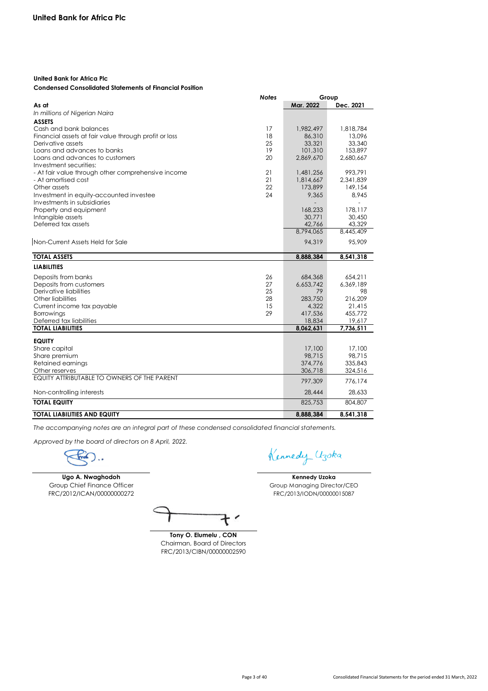# **United Bank for Africa Plc**

# **Condensed Consolidated Statements of Financial Position**

|                                                       | <b>Notes</b> |                     | Group               |
|-------------------------------------------------------|--------------|---------------------|---------------------|
| As at                                                 |              | Mar. 2022           | Dec. 2021           |
| In millions of Nigerian Naira                         |              |                     |                     |
| <b>ASSETS</b>                                         |              |                     |                     |
| Cash and bank balances                                | 17           | 1,982,497           | 1,818,784           |
| Financial assets at fair value through profit or loss | 18           | 86,310              | 13.096              |
| Derivative assets                                     | 25           | 33,321              | 33,340              |
| Loans and advances to banks                           | 19           | 101,310             | 153,897             |
| Loans and advances to customers                       | 20           | 2.869.670           | 2,680,667           |
| Investment securities:                                |              |                     |                     |
| - At fair value through other comprehensive income    | 21           | 1,481,256           | 993.791             |
| - At amortised cost                                   | 21           | 1,814,667           | 2,341,839           |
| Other assets                                          | 22           | 173,899             | 149,154             |
| Investment in equity-accounted investee               | 24           | 9,365               | 8.945               |
| Investments in subsidiaries                           |              |                     |                     |
| Property and equipment                                |              | 168,233             | 178,117             |
| Intangible assets<br>Deferred tax assets              |              | 30,771<br>42,766    | 30,450<br>43,329    |
|                                                       |              | 8.794.065           | 8,445,409           |
|                                                       |              |                     |                     |
| Non-Current Assets Held for Sale                      |              | 94,319              | 95,909              |
| <b>TOTAL ASSETS</b>                                   |              | 8.888.384           | 8,541,318           |
|                                                       |              |                     |                     |
| <b>LIABILITIES</b>                                    |              |                     |                     |
| Deposits from banks                                   | 26           | 684,368             | 654,211             |
| Deposits from customers                               | 27           | 6.653.742           | 6.369.189           |
| Derivative liabilities                                | 25           | 79                  | 98                  |
| Other liabilities                                     | 28           | 283,750             | 216,209             |
| Current income tax payable                            | 15           | 4,322               | 21,415              |
| Borrowings                                            | 29           | 417,536             | 455,772             |
| Deferred tax liabilities<br><b>TOTAL LIABILITIES</b>  |              | 18,834<br>8,062,631 | 19,617<br>7.736.511 |
|                                                       |              |                     |                     |
| <b>EQUITY</b>                                         |              |                     |                     |
| Share capital                                         |              | 17,100              | 17,100              |
| Share premium                                         |              | 98.715              | 98.715              |
| Retained earnings                                     |              | 374,776             | 335,843             |
| Other reserves                                        |              | 306,718             | 324,516             |
| EQUITY ATTRIBUTABLE TO OWNERS OF THE PARENT           |              | 797,309             | 776,174             |
| Non-controlling interests                             |              | 28,444              | 28,633              |
| <b>TOTAL EQUITY</b>                                   |              | 825,753             | 804,807             |
| <b>TOTAL LIABILITIES AND EQUITY</b>                   |              | 8,888,384           | 8,541,318           |

*The accompanying notes are an integral part of these condensed consolidated financial statements.*

*Approved by the board of directors on 8 April, 2022.*

**Ugo A. Nwaghodoh** Group Chief Finance Officer FRC/2012/ICAN/00000000272

**Tony O. Elumelu , CON** Chairman, Board of Directors FRC/2013/CIBN/00000002590

Kennedy Uzoka

**Kennedy Uzoka** Group Managing Director/CEO FRC/2013/IODN/00000015087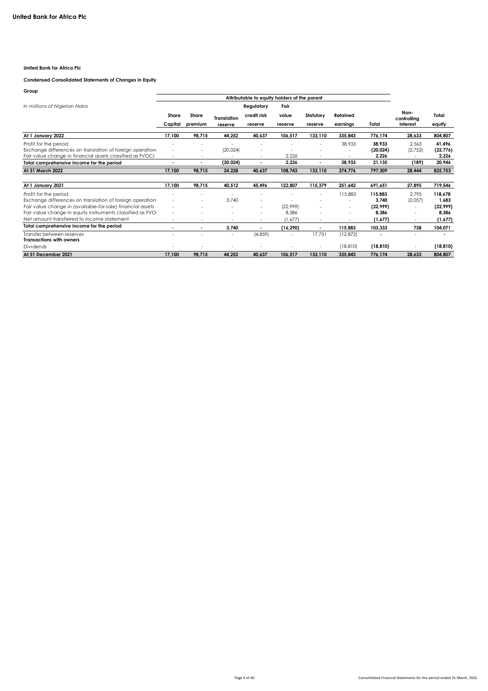# **United Bank for Africa Plc**

### **Condensed Consolidated Statements of Changes in Equity**

| Group                                                      |                          |         |                    |                                              |           |                          |           |           |                     |           |
|------------------------------------------------------------|--------------------------|---------|--------------------|----------------------------------------------|-----------|--------------------------|-----------|-----------|---------------------|-----------|
|                                                            |                          |         |                    | Attributable to equity holders of the parent |           |                          |           |           |                     |           |
| In millions of Nigerian Naira                              |                          |         |                    | Regulatory                                   | Fair      |                          |           |           |                     |           |
|                                                            | Share                    | Share   | <b>Translation</b> | credit risk                                  | value     | Statutory                | Retained  |           | Non-<br>controlling | Total     |
|                                                            | Capital                  | premium | reserve            | reserve                                      | reserve   | reserve                  | earnings  | Total     | interest            | equity    |
| At 1 January 2022                                          | 17,100                   | 98,715  | 44,252             | 40.637                                       | 106.517   | 133.110                  | 335.843   | 776.174   | 28.633              | 804,807   |
| Profit for the period                                      |                          |         |                    |                                              |           |                          | 38,933    | 38.933    | 2.563               | 41.496    |
| Exchange differences on translation of foreign operation   | ٠                        |         | (20, 024)          |                                              |           |                          |           | (20, 024) | (2,752)             | (22, 776) |
| Fair value change in financial assets classified as FVOCI  | ٠                        |         |                    | ٠                                            | 2.226     |                          |           | 2.226     |                     | 2.226     |
| Total comprehensive income for the period                  | $\overline{\phantom{a}}$ |         | (20, 024)          |                                              | 2,226     |                          | 38.933    | 21.135    | (189)               | 20,946    |
| At 31 March 2022                                           | 17.100                   | 98.715  | 24.228             | 40.637                                       | 108,743   | 133,110                  | 374,776   | 797.309   | 28,444              | 825,753   |
|                                                            |                          |         |                    |                                              |           |                          |           |           |                     |           |
| At 1 January 2021                                          | 17.100                   | 98,715  | 40,512             | 45,496                                       | 122,807   | 115,379                  | 251.642   | 691,651   | 27.895              | 719,546   |
| Profit for the period                                      | ٠                        |         |                    | ٠                                            |           | ٠                        | 115,883   | 115,883   | 2.795               | 118.678   |
| Exchange differences on translation of foreign operation:  | ٠                        | $\sim$  | 3.740              | ٠                                            |           |                          | ٠         | 3.740     | (2,057)             | 1.683     |
| Fair value change in (available-for-sale) financial assets | ٠                        | $\sim$  | $\sim$             | ٠                                            | (22.999)  |                          | ٠         | (22.999)  |                     | (22, 999) |
| Fair value change in equity instruments classified as FVO  | ٠                        |         |                    | ٠                                            | 8,386     |                          | ٠         | 8.386     | ٠                   | 8.386     |
| Net amount transferred to income statement                 | ٠                        | $\sim$  | $\sim$             | $\sim$                                       | (1.677)   | $\overline{\phantom{a}}$ | ٠         | (1.677)   | $\sim$              | (1,677)   |
| Total comprehensive income for the period                  |                          |         | 3,740              |                                              | (16, 290) |                          | 115,883   | 103,333   | 738                 | 104,071   |
| Transfer between reserves                                  | ٠                        | ٠       | $\sim$             | (4, 859)                                     |           | 17,731                   | (12, 872) |           | $\sim$              |           |
| <b>Transactions with owners</b>                            |                          |         |                    |                                              |           |                          |           |           |                     |           |
| Dividends                                                  | ٠                        |         |                    |                                              |           | ٠                        | (18, 810) | (18, 810) |                     | (18, 810) |
| At 31 December 2021                                        | 17.100                   | 98.715  | 44.252             | 40.637                                       | 106,517   | 133.110                  | 335.843   | 776.174   | 28.633              | 804,807   |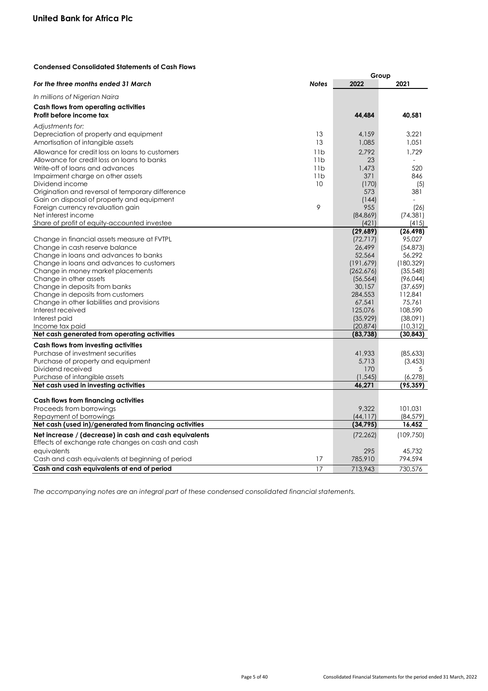# **Condensed Consolidated Statements of Cash Flows**

|                                                                                                             |              | Group      |            |
|-------------------------------------------------------------------------------------------------------------|--------------|------------|------------|
| For the three months ended 31 March                                                                         | <b>Notes</b> | 2022       | 2021       |
| In millions of Nigerian Naira                                                                               |              |            |            |
| Cash flows from operating activities                                                                        |              |            |            |
| Profit before income tax                                                                                    |              | 44,484     | 40,581     |
|                                                                                                             |              |            |            |
| Adjustments for:                                                                                            |              |            |            |
| Depreciation of property and equipment                                                                      | 13           | 4,159      | 3.221      |
| Amortisation of intangible assets                                                                           | 13           | 1,085      | 1,051      |
| Allowance for credit loss on loans to customers                                                             | 11b          | 2.792      | 1.729      |
| Allowance for credit loss on loans to banks                                                                 | 11b          | 23         |            |
| Write-off of loans and advances                                                                             | 11b          | 1,473      | 520        |
| Impairment charge on other assets                                                                           | 11b          | 371        | 846        |
| Dividend income                                                                                             | 10           | (170)      | (5)        |
| Origination and reversal of temporary difference                                                            |              | 573        | 381        |
| Gain on disposal of property and equipment                                                                  |              | (144)      |            |
| Foreign currency revaluation gain                                                                           | 9            | 955        | (26)       |
| Net interest income                                                                                         |              | (84, 869)  | (74, 381)  |
| Share of profit of equity-accounted investee                                                                |              | (421)      | (415)      |
|                                                                                                             |              | (29,689)   | (26, 498)  |
| Change in financial assets measure at FVTPL                                                                 |              | (72, 717)  | 95,027     |
| Change in cash reserve balance                                                                              |              | 26,499     | (54, 873)  |
| Change in loans and advances to banks                                                                       |              | 52,564     | 56,292     |
| Change in loans and advances to customers                                                                   |              | (191, 679) | (180, 329) |
| Change in money market placements                                                                           |              | (262, 676) | (35, 548)  |
| Change in other assets                                                                                      |              | (56, 564)  | (96, 044)  |
| Change in deposits from banks                                                                               |              | 30,157     | (37,659)   |
| Change in deposits from customers                                                                           |              | 284,553    | 112,841    |
| Change in other liabilities and provisions                                                                  |              | 67,541     | 75,761     |
| Interest received                                                                                           |              | 125,076    | 108,590    |
| Interest paid                                                                                               |              | (35, 929)  | (38,091)   |
| Income tax paid                                                                                             |              | (20, 874)  | (10, 312)  |
| Net cash generated from operating activities                                                                |              | (83, 738)  | (30, 843)  |
|                                                                                                             |              |            |            |
| Cash flows from investing activities                                                                        |              |            |            |
| Purchase of investment securities                                                                           |              | 41,933     | (85,633)   |
| Purchase of property and equipment                                                                          |              | 5,713      | (3, 453)   |
| Dividend received                                                                                           |              | 170        | 5          |
| Purchase of intangible assets                                                                               |              | (1, 545)   | (6, 278)   |
| Net cash used in investing activities                                                                       |              | 46,271     | (95, 359)  |
| Cash flows from financing activities                                                                        |              |            |            |
| Proceeds from borrowings                                                                                    |              | 9,322      | 101,031    |
| Repayment of borrowings                                                                                     |              | (44, 117)  | (84, 579)  |
| Net cash (used in)/generated from financing activities                                                      |              | (34, 795)  | 16,452     |
|                                                                                                             |              |            |            |
| Net increase / (decrease) in cash and cash equivalents<br>Effects of exchange rate changes on cash and cash |              | (72, 262)  | (109, 750) |
|                                                                                                             |              |            |            |
| equivalents                                                                                                 |              | 295        | 45,732     |
| Cash and cash equivalents at beginning of period                                                            | 17           | 785,910    | 794,594    |
| Cash and cash equivalents at end of period                                                                  | 17           | 713,943    | 730,576    |

*The accompanying notes are an integral part of these condensed consolidated financial statements.*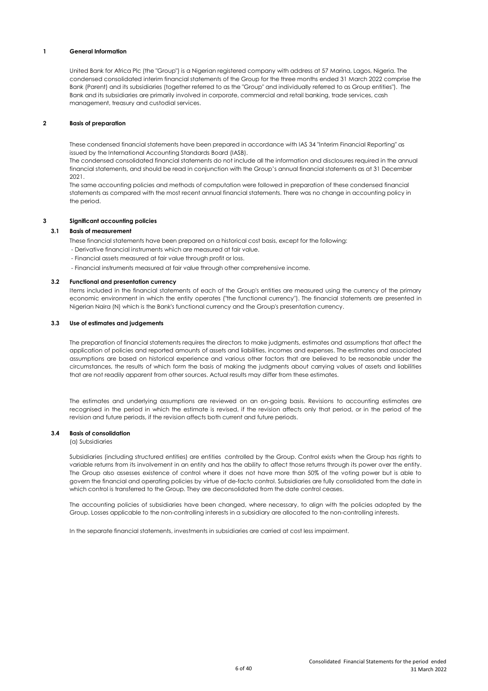## **1 General Information**

United Bank for Africa Plc (the "Group") is a Nigerian registered company with address at 57 Marina, Lagos, Nigeria. The condensed consolidated interim financial statements of the Group for the three months ended 31 March 2022 comprise the Bank (Parent) and its subsidiaries (together referred to as the "Group" and individually referred to as Group entities"). The Bank and its subsidiaries are primarily involved in corporate, commercial and retail banking, trade services, cash management, treasury and custodial services.

### **2 Basis of preparation**

These condensed financial statements have been prepared in accordance with IAS 34 "Interim Financial Reporting" as issued by the International Accounting Standards Board (IASB).

The condensed consolidated financial statements do not include all the information and disclosures required in the annual financial statements, and should be read in conjunction with the Group's annual financial statements as at 31 December 2021.

The same accounting policies and methods of computation were followed in preparation of these condensed financial statements as compared with the most recent annual financial statements. There was no change in accounting policy in the period.

#### **3 Significant accounting policies**

# **3.1 Basis of measurement**

These financial statements have been prepared on a historical cost basis, except for the following:

- Derivative financial instruments which are measured at fair value.
- Financial assets measured at fair value through profit or loss.
- Financial instruments measured at fair value through other comprehensive income.

#### **3.2 Functional and presentation currency**

Items included in the financial statements of each of the Group's entities are measured using the currency of the primary economic environment in which the entity operates ("the functional currency"). The financial statements are presented in Nigerian Naira (N) which is the Bank's functional currency and the Group's presentation currency.

#### **3.3 Use of estimates and judgements**

The preparation of financial statements requires the directors to make judgments, estimates and assumptions that affect the application of policies and reported amounts of assets and liabilities, incomes and expenses. The estimates and associated assumptions are based on historical experience and various other factors that are believed to be reasonable under the circumstances, the results of which form the basis of making the judgments about carrying values of assets and liabilities that are not readily apparent from other sources. Actual results may differ from these estimates.

The estimates and underlying assumptions are reviewed on an on-going basis. Revisions to accounting estimates are recognised in the period in which the estimate is revised, if the revision affects only that period, or in the period of the revision and future periods, if the revision affects both current and future periods.

#### **3.4 Basis of consolidation**

(a) Subsidiaries

Subsidiaries (including structured entities) are entities controlled by the Group. Control exists when the Group has rights to variable returns from its involvement in an entity and has the ability to affect those returns through its power over the entity. The Group also assesses existence of control where it does not have more than 50% of the voting power but is able to govern the financial and operating policies by virtue of de-facto control. Subsidiaries are fully consolidated from the date in which control is transferred to the Group. They are deconsolidated from the date control ceases.

The accounting policies of subsidiaries have been changed, where necessary, to align with the policies adopted by the Group. Losses applicable to the non-controlling interests in a subsidiary are allocated to the non-controlling interests.

In the separate financial statements, investments in subsidiaries are carried at cost less impairment.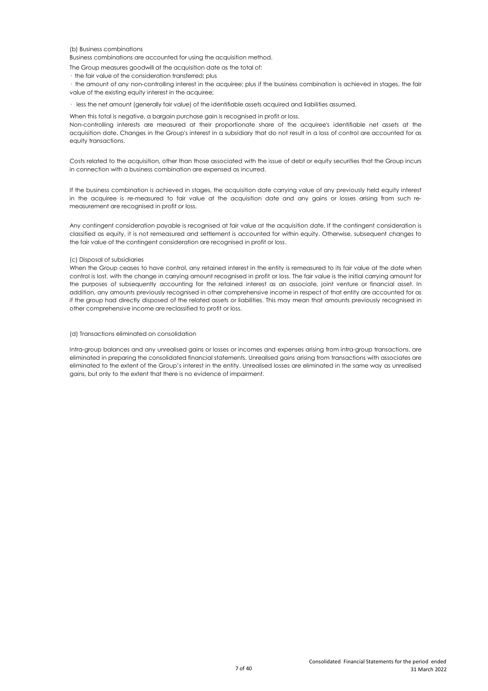### (b) Business combinations

Business combinations are accounted for using the acquisition method.

- The Group measures goodwill at the acquisition date as the total of:
- · the fair value of the consideration transferred; plus

· the amount of any non-controlling interest in the acquiree; plus if the business combination is achieved in stages, the fair value of the existing equity interest in the acquiree;

· less the net amount (generally fair value) of the identifiable assets acquired and liabilities assumed.

When this total is negative, a bargain purchase gain is recognised in profit or loss.

Non-controlling interests are measured at their proportionate share of the acquiree's identifiable net assets at the acquisition date. Changes in the Group's interest in a subsidiary that do not result in a loss of control are accounted for as equity transactions.

Costs related to the acquisition, other than those associated with the issue of debt or equity securities that the Group incurs in connection with a business combination are expensed as incurred.

If the business combination is achieved in stages, the acquisition date carrying value of any previously held equity interest in the acquiree is re-measured to fair value at the acquisition date and any gains or losses arising from such remeasurement are recognised in profit or loss.

Any contingent consideration payable is recognised at fair value at the acquisition date. If the contingent consideration is classified as equity, it is not remeasured and settlement is accounted for within equity. Otherwise, subsequent changes to the fair value of the contingent consideration are recognised in profit or loss.

#### (c) Disposal of subsidiaries

When the Group ceases to have control, any retained interest in the entity is remeasured to its fair value at the date when control is lost, with the change in carrying amount recognised in profit or loss. The fair value is the initial carrying amount for the purposes of subsequently accounting for the retained interest as an associate, joint venture or financial asset. In addition, any amounts previously recognised in other comprehensive income in respect of that entity are accounted for as if the group had directly disposed of the related assets or liabilities. This may mean that amounts previously recognised in other comprehensive income are reclassified to profit or loss.

#### (d) Transactions eliminated on consolidation

Intra-group balances and any unrealised gains or losses or incomes and expenses arising from intra-group transactions, are eliminated in preparing the consolidated financial statements. Unrealised gains arising from transactions with associates are eliminated to the extent of the Group's interest in the entity. Unrealised losses are eliminated in the same way as unrealised gains, but only to the extent that there is no evidence of impairment.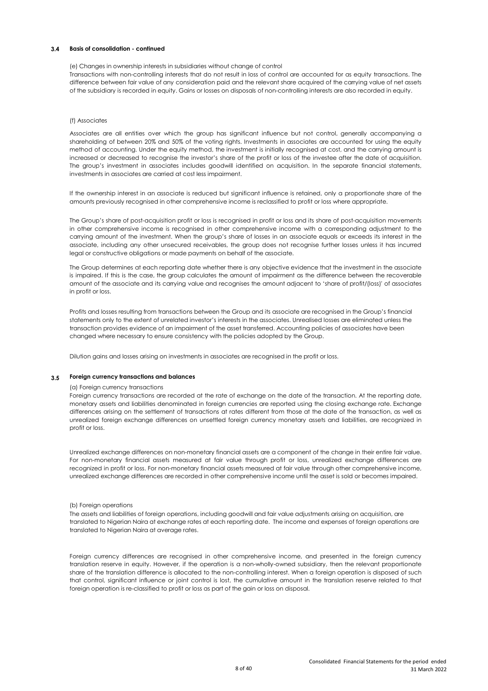# **3.4 Basis of consolidation - continued**

#### (e) Changes in ownership interests in subsidiaries without change of control

Transactions with non-controlling interests that do not result in loss of control are accounted for as equity transactions. The difference between fair value of any consideration paid and the relevant share acquired of the carrying value of net assets of the subsidiary is recorded in equity. Gains or losses on disposals of non-controlling interests are also recorded in equity.

# (f) Associates

Associates are all entities over which the group has significant influence but not control, generally accompanying a shareholding of between 20% and 50% of the voting rights. Investments in associates are accounted for using the equity method of accounting. Under the equity method, the investment is initially recognised at cost, and the carrying amount is increased or decreased to recognise the investor's share of the profit or loss of the investee after the date of acquisition. The group's investment in associates includes goodwill identified on acquisition. In the separate financial statements, investments in associates are carried at cost less impairment.

If the ownership interest in an associate is reduced but significant influence is retained, only a proportionate share of the amounts previously recognised in other comprehensive income is reclassified to profit or loss where appropriate.

The Group's share of post-acquisition profit or loss is recognised in profit or loss and its share of post-acquisition movements in other comprehensive income is recognised in other comprehensive income with a corresponding adjustment to the carrying amount of the investment. When the group's share of losses in an associate equals or exceeds its interest in the associate, including any other unsecured receivables, the group does not recognise further losses unless it has incurred legal or constructive obligations or made payments on behalf of the associate.

The Group determines at each reporting date whether there is any objective evidence that the investment in the associate is impaired. If this is the case, the group calculates the amount of impairment as the difference between the recoverable amount of the associate and its carrying value and recognises the amount adjacent to 'share of profit/(loss)' of associates in profit or loss.

Profits and losses resulting from transactions between the Group and its associate are recognised in the Group's financial statements only to the extent of unrelated investor's interests in the associates. Unrealised losses are eliminated unless the transaction provides evidence of an impairment of the asset transferred. Accounting policies of associates have been changed where necessary to ensure consistency with the policies adopted by the Group.

Dilution gains and losses arising on investments in associates are recognised in the profit or loss.

#### **3.5 Foreign currency transactions and balances**

#### (a) Foreign currency transactions

Foreign currency transactions are recorded at the rate of exchange on the date of the transaction. At the reporting date, monetary assets and liabilities denominated in foreign currencies are reported using the closing exchange rate. Exchange differences arising on the settlement of transactions at rates different from those at the date of the transaction, as well as unrealized foreign exchange differences on unsettled foreign currency monetary assets and liabilities, are recognized in profit or loss.

Unrealized exchange differences on non-monetary financial assets are a component of the change in their entire fair value. For non-monetary financial assets measured at fair value through profit or loss, unrealized exchange differences are recognized in profit or loss. For non-monetary financial assets measured at fair value through other comprehensive income, unrealized exchange differences are recorded in other comprehensive income until the asset is sold or becomes impaired.

#### (b) Foreign operations

The assets and liabilities of foreign operations, including goodwill and fair value adjustments arising on acquisition, are translated to Nigerian Naira at exchange rates at each reporting date. The income and expenses of foreign operations are translated to Nigerian Naira at average rates.

Foreign currency differences are recognised in other comprehensive income, and presented in the foreign currency translation reserve in equity. However, if the operation is a non-wholly-owned subsidiary, then the relevant proportionate share of the translation difference is allocated to the non-controlling interest. When a foreign operation is disposed of such that control, significant influence or joint control is lost, the cumulative amount in the translation reserve related to that foreign operation is re-classified to profit or loss as part of the gain or loss on disposal.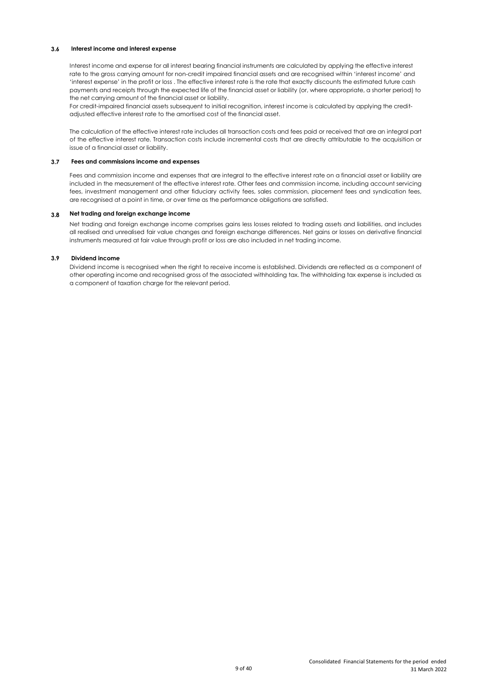# **3.6 Interest income and interest expense**

Interest income and expense for all interest bearing financial instruments are calculated by applying the effective interest rate to the gross carrying amount for non-credit impaired financial assets and are recognised within 'interest income' and 'interest expense' in the profit or loss . The effective interest rate is the rate that exactly discounts the estimated future cash payments and receipts through the expected life of the financial asset or liability (or, where appropriate, a shorter period) to the net carrying amount of the financial asset or liability.

For credit-impaired financial assets subsequent to initial recognition, interest income is calculated by applying the creditadjusted effective interest rate to the amortised cost of the financial asset.

The calculation of the effective interest rate includes all transaction costs and fees paid or received that are an integral part of the effective interest rate. Transaction costs include incremental costs that are directly attributable to the acquisition or issue of a financial asset or liability.

#### **3.7 Fees and commissions income and expenses**

Fees and commission income and expenses that are integral to the effective interest rate on a financial asset or liability are included in the measurement of the effective interest rate. Other fees and commission income, including account servicing fees, investment management and other fiduciary activity fees, sales commission, placement fees and syndication fees, are recognised at a point in time, or over time as the performance obligations are satisfied.

#### **3.8 Net trading and foreign exchange income**

Net trading and foreign exchange income comprises gains less losses related to trading assets and liabilities, and includes all realised and unrealised fair value changes and foreign exchange differences. Net gains or losses on derivative financial instruments measured at fair value through profit or loss are also included in net trading income.

#### **3.9 Dividend income**

Dividend income is recognised when the right to receive income is established. Dividends are reflected as a component of other operating income and recognised gross of the associated withholding tax. The withholding tax expense is included as a component of taxation charge for the relevant period.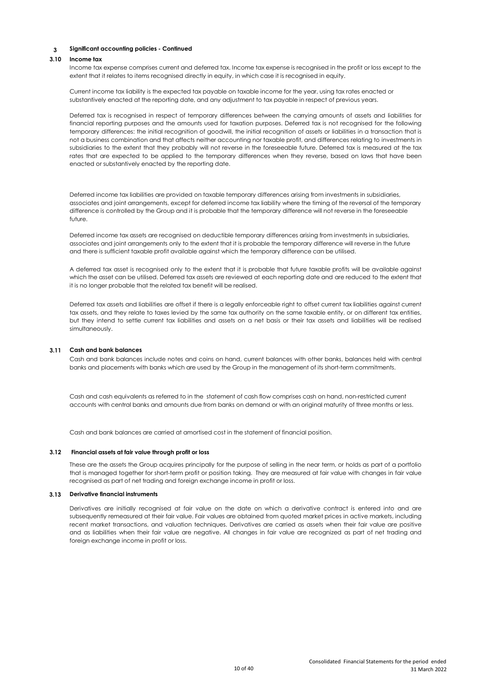#### **3.10 Income tax**

Income tax expense comprises current and deferred tax. Income tax expense is recognised in the profit or loss except to the extent that it relates to items recognised directly in equity, in which case it is recognised in equity.

Current income tax liability is the expected tax payable on taxable income for the year, using tax rates enacted or substantively enacted at the reporting date, and any adjustment to tax payable in respect of previous years.

Deferred tax is recognised in respect of temporary differences between the carrying amounts of assets and liabilities for financial reporting purposes and the amounts used for taxation purposes. Deferred tax is not recognised for the following temporary differences: the initial recognition of goodwill, the initial recognition of assets or liabilities in a transaction that is not a business combination and that affects neither accounting nor taxable profit, and differences relating to investments in subsidiaries to the extent that they probably will not reverse in the foreseeable future. Deferred tax is measured at the tax rates that are expected to be applied to the temporary differences when they reverse, based on laws that have been enacted or substantively enacted by the reporting date.

Deferred income tax liabilities are provided on taxable temporary differences arising from investments in subsidiaries, associates and joint arrangements, except for deferred income tax liability where the timing of the reversal of the temporary difference is controlled by the Group and it is probable that the temporary difference will not reverse in the foreseeable future.

Deferred income tax assets are recognised on deductible temporary differences arising from investments in subsidiaries, associates and joint arrangements only to the extent that it is probable the temporary difference will reverse in the future and there is sufficient taxable profit available against which the temporary difference can be utilised.

A deferred tax asset is recognised only to the extent that it is probable that future taxable profits will be available against which the asset can be utilised. Deferred tax assets are reviewed at each reporting date and are reduced to the extent that it is no longer probable that the related tax benefit will be realised.

Deferred tax assets and liabilities are offset if there is a legally enforceable right to offset current tax liabilities against current tax assets, and they relate to taxes levied by the same tax authority on the same taxable entity, or on different tax entities, but they intend to settle current tax liabilities and assets on a net basis or their tax assets and liabilities will be realised simultaneously.

### **3.11 Cash and bank balances**

Cash and bank balances include notes and coins on hand, current balances with other banks, balances held with central banks and placements with banks which are used by the Group in the management of its short-term commitments.

Cash and cash equivalents as referred to in the statement of cash flow comprises cash on hand, non-restricted current accounts with central banks and amounts due from banks on demand or with an original maturity of three months or less.

Cash and bank balances are carried at amortised cost in the statement of financial position.

#### **3.12 Financial assets at fair value through profit or loss**

These are the assets the Group acquires principally for the purpose of selling in the near term, or holds as part of a portfolio that is managed together for short-term profit or position taking. They are measured at fair value with changes in fair value recognised as part of net trading and foreign exchange income in profit or loss.

#### **3.13 Derivative financial instruments**

Derivatives are initially recognised at fair value on the date on which a derivative contract is entered into and are subsequently remeasured at their fair value. Fair values are obtained from quoted market prices in active markets, including recent market transactions, and valuation techniques. Derivatives are carried as assets when their fair value are positive and as liabilities when their fair value are negative. All changes in fair value are recognized as part of net trading and foreign exchange income in profit or loss.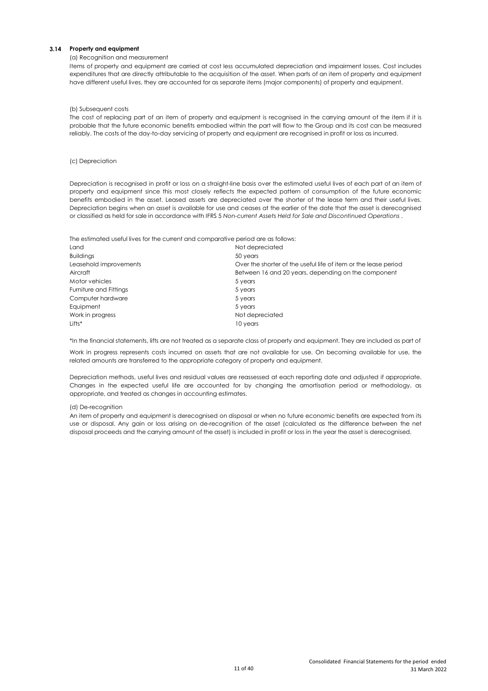# **3.14 Property and equipment**

### (a) Recognition and measurement

Items of property and equipment are carried at cost less accumulated depreciation and impairment losses. Cost includes expenditures that are directly attributable to the acquisition of the asset. When parts of an item of property and equipment have different useful lives, they are accounted for as separate items (major components) of property and equipment.

#### (b) Subsequent costs

The cost of replacing part of an item of property and equipment is recognised in the carrying amount of the item if it is probable that the future economic benefits embodied within the part will flow to the Group and its cost can be measured reliably. The costs of the day-to-day servicing of property and equipment are recognised in profit or loss as incurred.

#### (c) Depreciation

Depreciation is recognised in profit or loss on a straight-line basis over the estimated useful lives of each part of an item of property and equipment since this most closely reflects the expected pattern of consumption of the future economic benefits embodied in the asset. Leased assets are depreciated over the shorter of the lease term and their useful lives. Depreciation begins when an asset is available for use and ceases at the earlier of the date that the asset is derecognised or classified as held for sale in accordance with IFRS 5 *Non-current Assets Held for Sale and Discontinued Operations* .

The estimated useful lives for the current and comparative period are as follows:

| Not depreciated                                                 |
|-----------------------------------------------------------------|
| 50 years                                                        |
| Over the shorter of the useful life of item or the lease period |
| Between 16 and 20 years, depending on the component             |
| 5 years                                                         |
| 5 years                                                         |
| 5 years                                                         |
| 5 years                                                         |
| Not depreciated                                                 |
| 10 years                                                        |
|                                                                 |

\*In the financial statements, lifts are not treated as a separate class of property and equipment. They are included as part of

Work in progress represents costs incurred on assets that are not available for use. On becoming available for use, the related amounts are transferred to the appropriate category of property and equipment.

Depreciation methods, useful lives and residual values are reassessed at each reporting date and adjusted if appropriate. Changes in the expected useful life are accounted for by changing the amortisation period or methodology, as appropriate, and treated as changes in accounting estimates.

#### (d) De-recognition

An item of property and equipment is derecognised on disposal or when no future economic benefits are expected from its use or disposal. Any gain or loss arising on de-recognition of the asset (calculated as the difference between the net disposal proceeds and the carrying amount of the asset) is included in profit or loss in the year the asset is derecognised.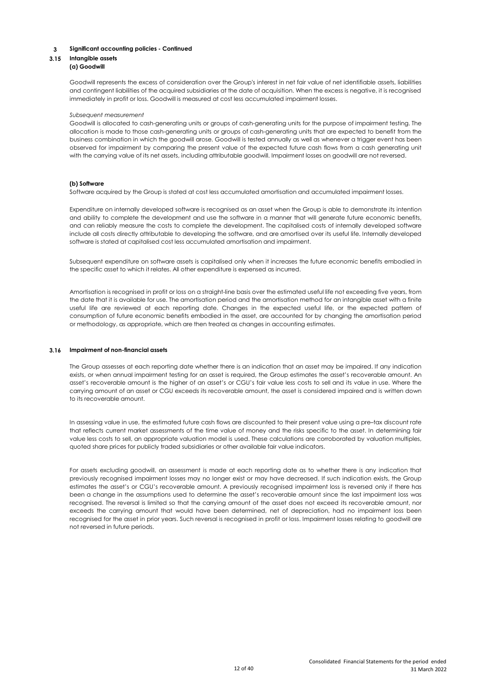# **3.15 Intangible assets**

#### **(a) Goodwill**

Goodwill represents the excess of consideration over the Group's interest in net fair value of net identifiable assets, liabilities and contingent liabilities of the acquired subsidiaries at the date of acquisition. When the excess is negative, it is recognised immediately in profit or loss. Goodwill is measured at cost less accumulated impairment losses.

#### *Subsequent measurement*

Goodwill is allocated to cash-generating units or groups of cash-generating units for the purpose of impairment testing. The allocation is made to those cash-generating units or groups of cash-generating units that are expected to benefit from the business combination in which the goodwill arose. Goodwill is tested annually as well as whenever a trigger event has been observed for impairment by comparing the present value of the expected future cash flows from a cash generating unit with the carrying value of its net assets, including attributable goodwill. Impairment losses on goodwill are not reversed.

### **(b) Software**

Software acquired by the Group is stated at cost less accumulated amortisation and accumulated impairment losses.

Expenditure on internally developed software is recognised as an asset when the Group is able to demonstrate its intention and ability to complete the development and use the software in a manner that will generate future economic benefits, and can reliably measure the costs to complete the development. The capitalised costs of internally developed software include all costs directly attributable to developing the software, and are amortised over its useful life. Internally developed software is stated at capitalised cost less accumulated amortisation and impairment.

Subsequent expenditure on software assets is capitalised only when it increases the future economic benefits embodied in the specific asset to which it relates. All other expenditure is expensed as incurred.

Amortisation is recognised in profit or loss on a straight-line basis over the estimated useful life not exceeding five years, from the date that it is available for use. The amortisation period and the amortisation method for an intangible asset with a finite useful life are reviewed at each reporting date. Changes in the expected useful life, or the expected pattern of consumption of future economic benefits embodied in the asset, are accounted for by changing the amortisation period or methodology, as appropriate, which are then treated as changes in accounting estimates.

### **3.16 Impairment of non-financial assets**

The Group assesses at each reporting date whether there is an indication that an asset may be impaired. If any indication exists, or when annual impairment testing for an asset is required, the Group estimates the asset's recoverable amount. An asset's recoverable amount is the higher of an asset's or CGU's fair value less costs to sell and its value in use. Where the carrying amount of an asset or CGU exceeds its recoverable amount, the asset is considered impaired and is written down to its recoverable amount.

In assessing value in use, the estimated future cash flows are discounted to their present value using a pre–tax discount rate that reflects current market assessments of the time value of money and the risks specific to the asset. In determining fair value less costs to sell, an appropriate valuation model is used. These calculations are corroborated by valuation multiples, quoted share prices for publicly traded subsidiaries or other available fair value indicators.

For assets excluding goodwill, an assessment is made at each reporting date as to whether there is any indication that previously recognised impairment losses may no longer exist or may have decreased. If such indication exists, the Group estimates the asset's or CGU's recoverable amount. A previously recognised impairment loss is reversed only if there has been a change in the assumptions used to determine the asset's recoverable amount since the last impairment loss was recognised. The reversal is limited so that the carrying amount of the asset does not exceed its recoverable amount, nor exceeds the carrying amount that would have been determined, net of depreciation, had no impairment loss been recognised for the asset in prior years. Such reversal is recognised in profit or loss. Impairment losses relating to goodwill are not reversed in future periods.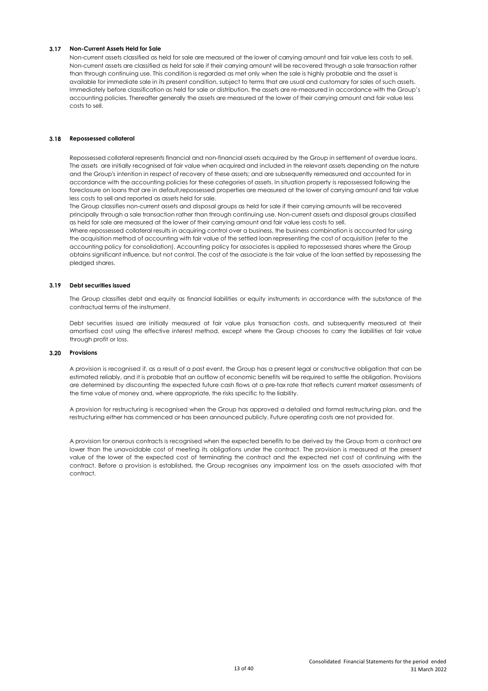# **3.17 Non-Current Assets Held for Sale**

Non-current assets classified as held for sale are measured at the lower of carrying amount and fair value less costs to sell. Non-current assets are classified as held for sale if their carrying amount will be recovered through a sale transaction rather than through continuing use. This condition is regarded as met only when the sale is highly probable and the asset is available for immediate sale in its present condition, subject to terms that are usual and customary for sales of such assets. Immediately before classification as held for sale or distribution, the assets are re-measured in accordance with the Group's accounting policies. Thereafter generally the assets are measured at the lower of their carrying amount and fair value less costs to sell.

### **3.18 Repossessed collateral**

Repossessed collateral represents financial and non-financial assets acquired by the Group in settlement of overdue loans. The assets are initially recognised at fair value when acquired and included in the relevant assets depending on the nature and the Group's intention in respect of recovery of these assets; and are subsequently remeasured and accounted for in accordance with the accounting policies for these categories of assets. In situation property is repossessed following the foreclosure on loans that are in default,repossessed properties are measured at the lower of carrying amount and fair value less costs to sell and reported as assets held for sale.

The Group classifies non-current assets and disposal groups as held for sale if their carrying amounts will be recovered principally through a sale transaction rather than through continuing use. Non-current assets and disposal groups classified as held for sale are measured at the lower of their carrying amount and fair value less costs to sell.

Where repossessed collateral results in acquiring control over a business, the business combination is accounted for using the acquisition method of accounting with fair value of the settled loan representing the cost of acquisition (refer to the accounting policy for consolidation). Accounting policy for associates is applied to repossessed shares where the Group obtains significant influence, but not control. The cost of the associate is the fair value of the loan settled by repossessing the pledged shares.

# **3.19 Debt securities issued**

The Group classifies debt and equity as financial liabilities or equity instruments in accordance with the substance of the contractual terms of the instrument.

Debt securities issued are initially measured at fair value plus transaction costs, and subsequently measured at their amortised cost using the effective interest method, except where the Group chooses to carry the liabilities at fair value through profit or loss.

#### **3.20 Provisions**

A provision is recognised if, as a result of a past event, the Group has a present legal or constructive obligation that can be estimated reliably, and it is probable that an outflow of economic benefits will be required to settle the obligation. Provisions are determined by discounting the expected future cash flows at a pre-tax rate that reflects current market assessments of the time value of money and, where appropriate, the risks specific to the liability.

A provision for restructuring is recognised when the Group has approved a detailed and formal restructuring plan, and the restructuring either has commenced or has been announced publicly. Future operating costs are not provided for.

A provision for onerous contracts is recognised when the expected benefits to be derived by the Group from a contract are lower than the unavoidable cost of meeting its obligations under the contract. The provision is measured at the present value of the lower of the expected cost of terminating the contract and the expected net cost of continuing with the contract. Before a provision is established, the Group recognises any impairment loss on the assets associated with that contract.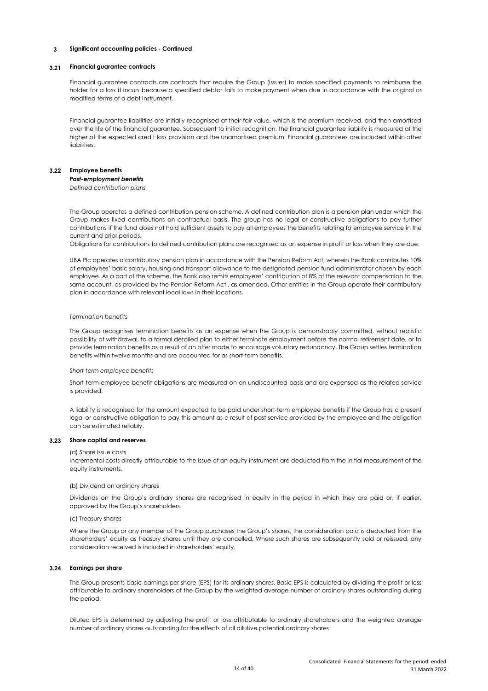#### **3.21 Financial guarantee contracts**

Financial guarantee contracts are contracts that require the Group (issuer) to make specified payments to reimburse the holder for a loss it incurs because a specified debtor fails to make payment when due in accordance with the original or modified terms of a debt instrument.

Financial guarantee liabilities are initially recognised at their fair value, which is the premium received, and then amortised over the life of the financial guarantee. Subsequent to initial recognition, the financial guarantee liability is measured at the higher of the expected credit loss provision and the unamortised premium. Financial guarantees are included within other liabilities.

### **3.22 Employee benefits**

*Post-employment benefits Defined contribution plans*

The Group operates a defined contribution pension scheme. A defined contribution plan is a pension plan under which the Group makes fixed contributions on contractual basis. The group has no legal or constructive obligations to pay further contributions if the fund does not hold sufficient assets to pay all employees the benefits relating to employee service in the current and prior periods.

Obligations for contributions to defined contribution plans are recognised as an expense in profit or loss when they are due.

UBA Plc operates a contributory pension plan in accordance with the Pension Reform Act, wherein the Bank contributes 10% of employees' basic salary, housing and transport allowance to the designated pension fund administrator chosen by each employee. As a part of the scheme, the Bank also remits employees' contribution of 8% of the relevant compensation to the same account, as provided by the Pension Reform Act , as amended. Other entities in the Group operate their contributory plan in accordance with relevant local laws in their locations.

#### *Termination benefits*

The Group recognises termination benefits as an expense when the Group is demonstrably committed, without realistic possibility of withdrawal, to a formal detailed plan to either terminate employment before the normal retirement date, or to provide termination benefits as a result of an offer made to encourage voluntary redundancy. The Group settles termination benefits within twelve months and are accounted for as short-term benefits.

#### *Short term employee benefits*

Short-term employee benefit obligations are measured on an undiscounted basis and are expensed as the related service is provided.

A liability is recognised for the amount expected to be paid under short-term employee benefits if the Group has a present legal or constructive obligation to pay this amount as a result of past service provided by the employee and the obligation can be estimated reliably.

### **3.23 Share capital and reserves**

#### (a) Share issue costs

Incremental costs directly attributable to the issue of an equity instrument are deducted from the initial measurement of the equity instruments.

#### (b) Dividend on ordinary shares

Dividends on the Group's ordinary shares are recognised in equity in the period in which they are paid or, if earlier, approved by the Group's shareholders.

#### (c) Treasury shares

Where the Group or any member of the Group purchases the Group's shares, the consideration paid is deducted from the shareholders' equity as treasury shares until they are cancelled. Where such shares are subsequently sold or reissued, any consideration received is included in shareholders' equity.

### **3.24 Earnings per share**

The Group presents basic earnings per share (EPS) for its ordinary shares. Basic EPS is calculated by dividing the profit or loss attributable to ordinary shareholders of the Group by the weighted average number of ordinary shares outstanding during the period.

Diluted EPS is determined by adjusting the profit or loss attributable to ordinary shareholders and the weighted average number of ordinary shares outstanding for the effects of all dilutive potential ordinary shares.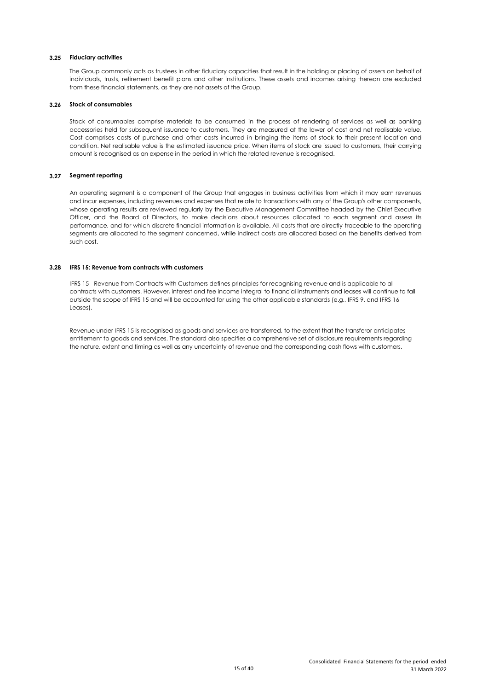# **3.25 Fiduciary activities**

The Group commonly acts as trustees in other fiduciary capacities that result in the holding or placing of assets on behalf of individuals, trusts, retirement benefit plans and other institutions. These assets and incomes arising thereon are excluded from these financial statements, as they are not assets of the Group.

#### **3.26 Stock of consumables**

Stock of consumables comprise materials to be consumed in the process of rendering of services as well as banking accessories held for subsequent issuance to customers. They are measured at the lower of cost and net realisable value. Cost comprises costs of purchase and other costs incurred in bringing the items of stock to their present location and condition. Net realisable value is the estimated issuance price. When items of stock are issued to customers, their carrying amount is recognised as an expense in the period in which the related revenue is recognised.

# **3.27 Segment reporting**

An operating segment is a component of the Group that engages in business activities from which it may earn revenues and incur expenses, including revenues and expenses that relate to transactions with any of the Group's other components, whose operating results are reviewed regularly by the Executive Management Committee headed by the Chief Executive Officer, and the Board of Directors, to make decisions about resources allocated to each segment and assess its performance, and for which discrete financial information is available. All costs that are directly traceable to the operating segments are allocated to the segment concerned, while indirect costs are allocated based on the benefits derived from such cost.

# **3.28 IFRS 15: Revenue from contracts with customers**

IFRS 15 - Revenue from Contracts with Customers defines principles for recognising revenue and is applicable to all contracts with customers. However, interest and fee income integral to financial instruments and leases will continue to fall outside the scope of IFRS 15 and will be accounted for using the other applicable standards (e.g., IFRS 9, and IFRS 16 Leases).

Revenue under IFRS 15 is recognised as goods and services are transferred, to the extent that the transferor anticipates entitlement to goods and services. The standard also specifies a comprehensive set of disclosure requirements regarding the nature, extent and timing as well as any uncertainty of revenue and the corresponding cash flows with customers.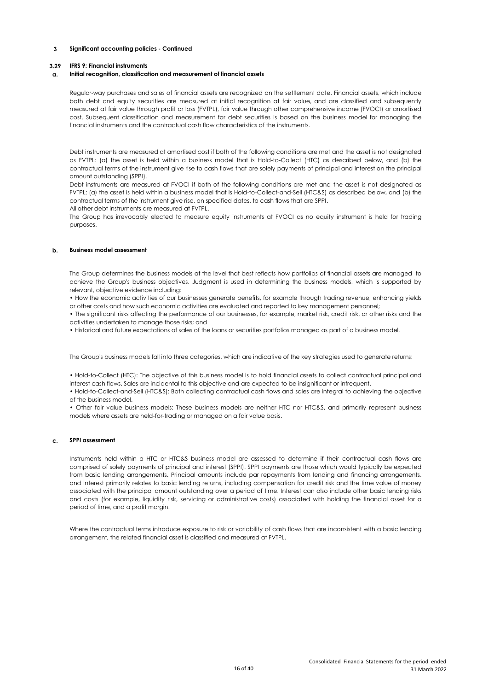### **3.29 IFRS 9: Financial instruments**

#### **a. Initial recognition, classification and measurement of financial assets**

Regular-way purchases and sales of financial assets are recognized on the settlement date. Financial assets, which include both debt and equity securities are measured at initial recognition at fair value, and are classified and subsequently measured at fair value through profit or loss (FVTPL), fair value through other comprehensive income (FVOCI) or amortised cost. Subsequent classification and measurement for debt securities is based on the business model for managing the financial instruments and the contractual cash flow characteristics of the instruments.

Debt instruments are measured at amortised cost if both of the following conditions are met and the asset is not designated as FVTPL: (a) the asset is held within a business model that is Hold-to-Collect (HTC) as described below, and (b) the contractual terms of the instrument give rise to cash flows that are solely payments of principal and interest on the principal amount outstanding (SPPI).

Debt instruments are measured at FVOCI if both of the following conditions are met and the asset is not designated as FVTPL: (a) the asset is held within a business model that is Hold-to-Collect-and-Sell (HTC&S) as described below, and (b) the contractual terms of the instrument give rise, on specified dates, to cash flows that are SPPI.

All other debt instruments are measured at FVTPL.

The Group has irrevocably elected to measure equity instruments at FVOCI as no equity instrument is held for trading purposes.

### **b. Business model assessment**

The Group determines the business models at the level that best reflects how portfolios of financial assets are managed to achieve the Group's business objectives. Judgment is used in determining the business models, which is supported by relevant, objective evidence including:

• How the economic activities of our businesses generate benefits, for example through trading revenue, enhancing yields or other costs and how such economic activities are evaluated and reported to key management personnel;

• The significant risks affecting the performance of our businesses, for example, market risk, credit risk, or other risks and the activities undertaken to manage those risks; and

• Historical and future expectations of sales of the loans or securities portfolios managed as part of a business model.

The Group's business models fall into three categories, which are indicative of the key strategies used to generate returns:

• Hold-to-Collect (HTC): The objective of this business model is to hold financial assets to collect contractual principal and interest cash flows. Sales are incidental to this objective and are expected to be insignificant or infrequent.

• Hold-to-Collect-and-Sell (HTC&S): Both collecting contractual cash flows and sales are integral to achieving the objective of the business model.

• Other fair value business models: These business models are neither HTC nor HTC&S, and primarily represent business models where assets are held-for-trading or managed on a fair value basis.

### **c. SPPI assessment**

Instruments held within a HTC or HTC&S business model are assessed to determine if their contractual cash flows are comprised of solely payments of principal and interest (SPPI). SPPI payments are those which would typically be expected from basic lending arrangements. Principal amounts include par repayments from lending and financing arrangements, and interest primarily relates to basic lending returns, including compensation for credit risk and the time value of money associated with the principal amount outstanding over a period of time. Interest can also include other basic lending risks and costs (for example, liquidity risk, servicing or administrative costs) associated with holding the financial asset for a period of time, and a profit margin.

Where the contractual terms introduce exposure to risk or variability of cash flows that are inconsistent with a basic lending arrangement, the related financial asset is classified and measured at FVTPL.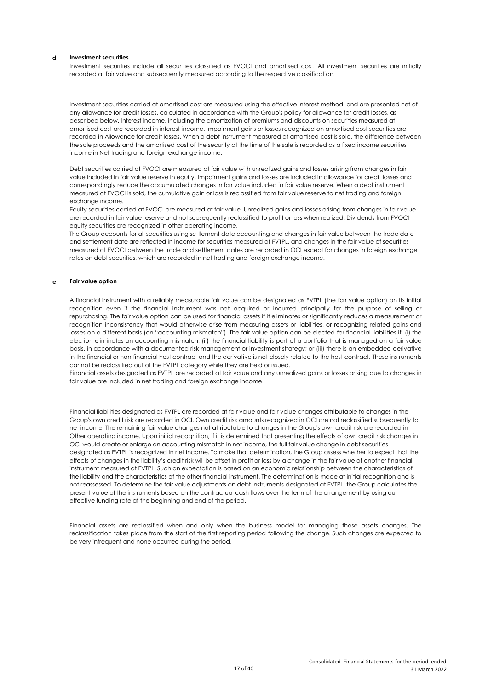### **d. Investment securities**

Investment securities include all securities classified as FVOCI and amortised cost. All investment securities are initially recorded at fair value and subsequently measured according to the respective classification.

Investment securities carried at amortised cost are measured using the effective interest method, and are presented net of any allowance for credit losses, calculated in accordance with the Group's policy for allowance for credit losses, as described below. Interest income, including the amortization of premiums and discounts on securities measured at amortised cost are recorded in interest income. Impairment gains or losses recognized on amortised cost securities are recorded in Allowance for credit losses. When a debt instrument measured at amortised cost is sold, the difference between the sale proceeds and the amortised cost of the security at the time of the sale is recorded as a fixed income securities income in Net trading and foreign exchange income.

Debt securities carried at FVOCI are measured at fair value with unrealized gains and losses arising from changes in fair value included in fair value reserve in equity. Impairment gains and losses are included in allowance for credit losses and correspondingly reduce the accumulated changes in fair value included in fair value reserve. When a debt instrument measured at FVOCI is sold, the cumulative gain or loss is reclassified from fair value reserve to net trading and foreign exchange income.

Equity securities carried at FVOCI are measured at fair value. Unrealized gains and losses arising from changes in fair value are recorded in fair value reserve and not subsequently reclassified to profit or loss when realized. Dividends from FVOCI equity securities are recognized in other operating income.

The Group accounts for all securities using settlement date accounting and changes in fair value between the trade date and settlement date are reflected in income for securities measured at FVTPL, and changes in the fair value of securities measured at FVOCI between the trade and settlement dates are recorded in OCI except for changes in foreign exchange rates on debt securities, which are recorded in net trading and foreign exchange income.

#### **e. Fair value option**

A financial instrument with a reliably measurable fair value can be designated as FVTPL (the fair value option) on its initial recognition even if the financial instrument was not acquired or incurred principally for the purpose of selling or repurchasing. The fair value option can be used for financial assets if it eliminates or significantly reduces a measurement or recognition inconsistency that would otherwise arise from measuring assets or liabilities, or recognizing related gains and losses on a different basis (an "accounting mismatch"). The fair value option can be elected for financial liabilities if: (i) the election eliminates an accounting mismatch; (ii) the financial liability is part of a portfolio that is managed on a fair value basis, in accordance with a documented risk management or investment strategy; or (iii) there is an embedded derivative in the financial or non-financial host contract and the derivative is not closely related to the host contract. These instruments cannot be reclassified out of the FVTPL category while they are held or issued.

Financial assets designated as FVTPL are recorded at fair value and any unrealized gains or losses arising due to changes in fair value are included in net trading and foreign exchange income.

Financial liabilities designated as FVTPL are recorded at fair value and fair value changes attributable to changes in the Group's own credit risk are recorded in OCI. Own credit risk amounts recognized in OCI are not reclassified subsequently to net income. The remaining fair value changes not attributable to changes in the Group's own credit risk are recorded in Other operating income. Upon initial recognition, if it is determined that presenting the effects of own credit risk changes in OCI would create or enlarge an accounting mismatch in net income, the full fair value change in debt securities designated as FVTPL is recognized in net income. To make that determination, the Group assess whether to expect that the effects of changes in the liability's credit risk will be offset in profit or loss by a change in the fair value of another financial instrument measured at FVTPL. Such an expectation is based on an economic relationship between the characteristics of the liability and the characteristics of the other financial instrument. The determination is made at initial recognition and is not reassessed. To determine the fair value adjustments on debt instruments designated at FVTPL, the Group calculates the present value of the instruments based on the contractual cash flows over the term of the arrangement by using our effective funding rate at the beginning and end of the period.

Financial assets are reclassified when and only when the business model for managing those assets changes. The reclassification takes place from the start of the first reporting period following the change. Such changes are expected to be very infrequent and none occurred during the period.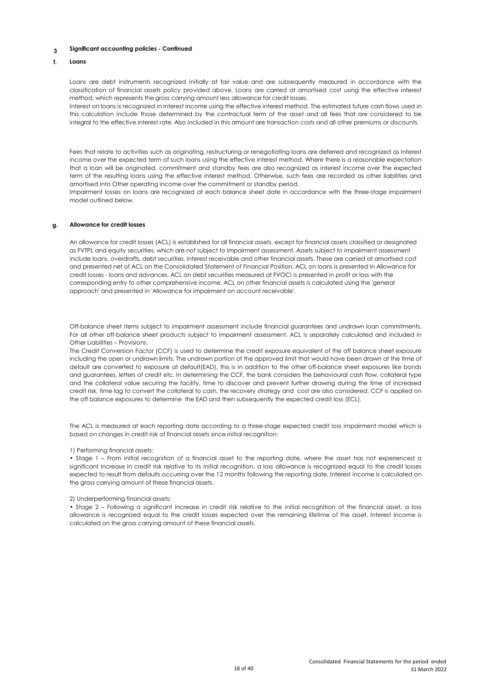#### **f. Loans**

Loans are debt instruments recognized initially at fair value and are subsequently measured in accordance with the classification of financial assets policy provided above. Loans are carried at amortised cost using the effective interest method, which represents the gross carrying amount less allowance for credit losses.

Interest on loans is recognized in interest income using the effective interest method. The estimated future cash flows used in this calculation include those determined by the contractual term of the asset and all fees that are considered to be integral to the effective interest rate. Also included in this amount are transaction costs and all other premiums or discounts.

Fees that relate to activities such as originating, restructuring or renegotiating loans are deferred and recognized as Interest income over the expected term of such loans using the effective interest method. Where there is a reasonable expectation that a loan will be originated, commitment and standby fees are also recognized as interest income over the expected term of the resulting loans using the effective interest method. Otherwise, such fees are recorded as other liabilities and amortised into Other operating income over the commitment or standby period.

Impairment losses on loans are recognized at each balance sheet date in accordance with the three-stage impairment model outlined below.

### **g. Allowance for credit losses**

An allowance for credit losses (ACL) is established for all financial assets, except for financial assets classified or designated as FVTPL and equity securities, which are not subject to impairment assessment. Assets subject to impairment assessment include loans, overdrafts, debt securities, interest receivable and other financial assets. These are carried at amortised cost and presented net of ACL on the Consolidated Statement of Financial Position. ACL on loans is presented in Allowance for credit losses - loans and advances. ACL on debt securities measured at FVOCI is presented in profit or loss with the corresponding entry to other comprehensive income. ACL on other financial assets is calculated using the 'general approach' and presented in 'Allowance for impairment on account receivable'.

Off-balance sheet items subject to impairment assessment include financial guarantees and undrawn loan commitments. For all other off-balance sheet products subject to impairment assessment, ACL is separately calculated and included in Other Liabilities – Provisions.

The Credit Conversion Factor (CCF) is used to determine the credit exposure equivalent of the off balance sheet exposure including the open or undrawn limits. The undrawn portion of the approved limit that would have been drawn at the time of default are converted to exposure at default(EAD), this is in addition to the other off-balance sheet exposures like bonds and guarantees, letters of credit etc. In determining the CCF, the bank considers the behavioural cash flow, collateral type and the collateral value securing the facility, time to discover and prevent further drawing during the time of increased credit risk, time lag to convert the collateral to cash, the recovery strategy and cost are also considered. CCF is applied on the off balance exposures to determine the EAD and then subsequently the expected credit loss (ECL).

The ACL is measured at each reporting date according to a three-stage expected credit loss impairment model which is based on changes in credit risk of financial assets since initial recognition:

#### 1) Performing financial assets:

• Stage 1 – From initial recognition of a financial asset to the reporting date, where the asset has not experienced a significant increase in credit risk relative to its initial recognition, a loss allowance is recognized equal to the credit losses expected to result from defaults occurring over the 12 months following the reporting date. Interest income is calculated on the gross carrying amount of these financial assets.

# 2) Underperforming financial assets:

• Stage 2 – Following a significant increase in credit risk relative to the initial recognition of the financial asset, a loss allowance is recognized equal to the credit losses expected over the remaining lifetime of the asset. Interest income is calculated on the gross carrying amount of these financial assets.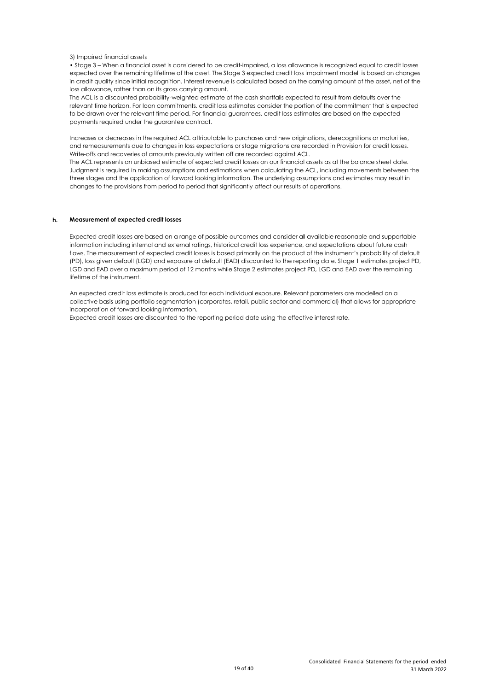#### 3) Impaired financial assets

• Stage 3 – When a financial asset is considered to be credit-impaired, a loss allowance is recognized equal to credit losses expected over the remaining lifetime of the asset. The Stage 3 expected credit loss impairment model is based on changes in credit quality since initial recognition. Interest revenue is calculated based on the carrying amount of the asset, net of the loss allowance, rather than on its gross carrying amount.

The ACL is a discounted probability-weighted estimate of the cash shortfalls expected to result from defaults over the relevant time horizon. For loan commitments, credit loss estimates consider the portion of the commitment that is expected to be drawn over the relevant time period. For financial guarantees, credit loss estimates are based on the expected payments required under the guarantee contract.

Increases or decreases in the required ACL attributable to purchases and new originations, derecognitions or maturities, and remeasurements due to changes in loss expectations or stage migrations are recorded in Provision for credit losses. Write-offs and recoveries of amounts previously written off are recorded against ACL.

The ACL represents an unbiased estimate of expected credit losses on our financial assets as at the balance sheet date. Judgment is required in making assumptions and estimations when calculating the ACL, including movements between the three stages and the application of forward looking information. The underlying assumptions and estimates may result in changes to the provisions from period to period that significantly affect our results of operations.

#### **h. Measurement of expected credit losses**

Expected credit losses are based on a range of possible outcomes and consider all available reasonable and supportable information including internal and external ratings, historical credit loss experience, and expectations about future cash flows. The measurement of expected credit losses is based primarily on the product of the instrument's probability of default (PD), loss given default (LGD) and exposure at default (EAD) discounted to the reporting date. Stage 1 estimates project PD, LGD and EAD over a maximum period of 12 months while Stage 2 estimates project PD, LGD and EAD over the remaining lifetime of the instrument.

An expected credit loss estimate is produced for each individual exposure. Relevant parameters are modelled on a collective basis using portfolio segmentation (corporates, retail, public sector and commercial) that allows for appropriate incorporation of forward looking information.

Expected credit losses are discounted to the reporting period date using the effective interest rate.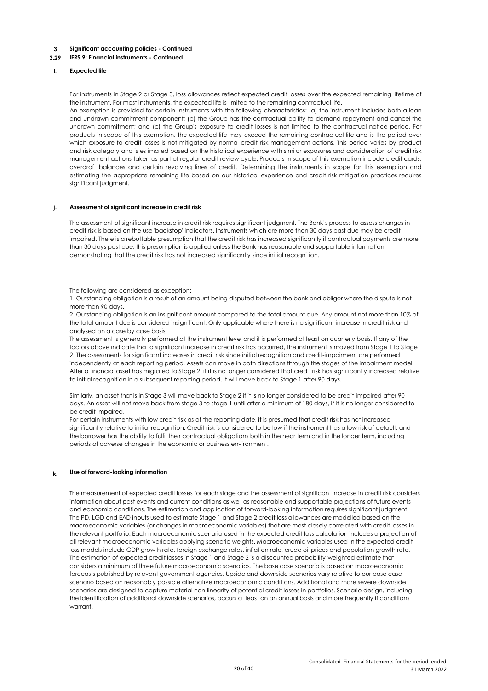#### **3.29 IFRS 9: Financial instruments - Continued**

#### **i. Expected life**

For instruments in Stage 2 or Stage 3, loss allowances reflect expected credit losses over the expected remaining lifetime of the instrument. For most instruments, the expected life is limited to the remaining contractual life. An exemption is provided for certain instruments with the following characteristics: (a) the instrument includes both a loan and undrawn commitment component; (b) the Group has the contractual ability to demand repayment and cancel the undrawn commitment; and (c) the Group's exposure to credit losses is not limited to the contractual notice period. For products in scope of this exemption, the expected life may exceed the remaining contractual life and is the period over which exposure to credit losses is not mitigated by normal credit risk management actions. This period varies by product and risk category and is estimated based on the historical experience with similar exposures and consideration of credit risk management actions taken as part of regular credit review cycle. Products in scope of this exemption include credit cards, overdraft balances and certain revolving lines of credit. Determining the instruments in scope for this exemption and

estimating the appropriate remaining life based on our historical experience and credit risk mitigation practices requires

#### **j. Assessment of significant increase in credit risk**

significant judgment.

The assessment of significant increase in credit risk requires significant judgment. The Bank's process to assess changes in credit risk is based on the use 'backstop' indicators. Instruments which are more than 30 days past due may be creditimpaired. There is a rebuttable presumption that the credit risk has increased significantly if contractual payments are more than 30 days past due; this presumption is applied unless the Bank has reasonable and supportable information demonstrating that the credit risk has not increased significantly since initial recognition.

#### The following are considered as exception:

1. Outstanding obligation is a result of an amount being disputed between the bank and obligor where the dispute is not more than 90 days.

2. Outstanding obligation is an insignificant amount compared to the total amount due. Any amount not more than 10% of the total amount due is considered insignificant. Only applicable where there is no significant increase in credit risk and analysed on a case by case basis.

The assessment is generally performed at the instrument level and it is performed at least on quarterly basis. If any of the factors above indicate that a significant increase in credit risk has occurred, the instrument is moved from Stage 1 to Stage 2. The assessments for significant increases in credit risk since initial recognition and credit-impairment are performed independently at each reporting period. Assets can move in both directions through the stages of the impairment model. After a financial asset has migrated to Stage 2, if it is no longer considered that credit risk has significantly increased relative to initial recognition in a subsequent reporting period, it will move back to Stage 1 after 90 days.

Similarly, an asset that is in Stage 3 will move back to Stage 2 if it is no longer considered to be credit-impaired after 90 days. An asset will not move back from stage 3 to stage 1 until after a minimum of 180 days, if it is no longer considered to be credit impaired.

For certain instruments with low credit risk as at the reporting date, it is presumed that credit risk has not increased significantly relative to initial recognition. Credit risk is considered to be low if the instrument has a low risk of default, and the borrower has the ability to fulfil their contractual obligations both in the near term and in the longer term, including periods of adverse changes in the economic or business environment.

#### **k. Use of forward-looking information**

The measurement of expected credit losses for each stage and the assessment of significant increase in credit risk considers information about past events and current conditions as well as reasonable and supportable projections of future events and economic conditions. The estimation and application of forward-looking information requires significant judgment. The PD, LGD and EAD inputs used to estimate Stage 1 and Stage 2 credit loss allowances are modelled based on the macroeconomic variables (or changes in macroeconomic variables) that are most closely correlated with credit losses in the relevant portfolio. Each macroeconomic scenario used in the expected credit loss calculation includes a projection of all relevant macroeconomic variables applying scenario weights. Macroeconomic variables used in the expected credit loss models include GDP growth rate, foreign exchange rates, inflation rate, crude oil prices and population growth rate. The estimation of expected credit losses in Stage 1 and Stage 2 is a discounted probability-weighted estimate that considers a minimum of three future macroeconomic scenarios. The base case scenario is based on macroeconomic forecasts published by relevant government agencies. Upside and downside scenarios vary relative to our base case scenario based on reasonably possible alternative macroeconomic conditions. Additional and more severe downside scenarios are designed to capture material non-linearity of potential credit losses in portfolios. Scenario design, including the identification of additional downside scenarios, occurs at least on an annual basis and more frequently if conditions warrant.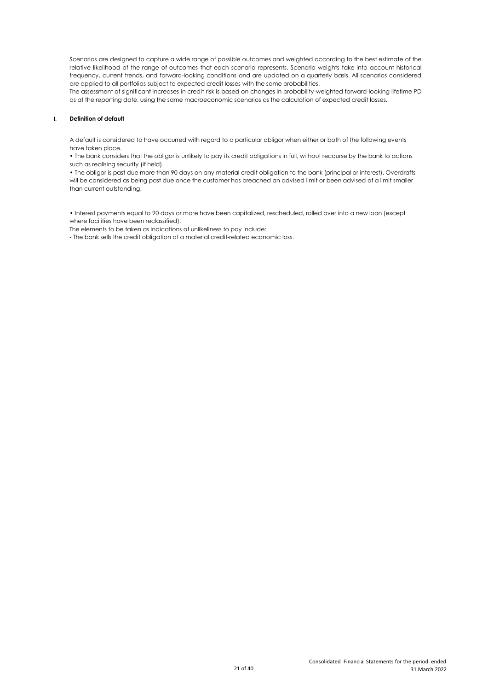Scenarios are designed to capture a wide range of possible outcomes and weighted according to the best estimate of the relative likelihood of the range of outcomes that each scenario represents. Scenario weights take into account historical frequency, current trends, and forward-looking conditions and are updated on a quarterly basis. All scenarios considered are applied to all portfolios subject to expected credit losses with the same probabilities.

The assessment of significant increases in credit risk is based on changes in probability-weighted forward-looking lifetime PD as at the reporting date, using the same macroeconomic scenarios as the calculation of expected credit losses.

#### **l. Definition of default**

A default is considered to have occurred with regard to a particular obligor when either or both of the following events have taken place.

• The bank considers that the obligor is unlikely to pay its credit obligations in full, without recourse by the bank to actions such as realising security (if held).

• The obligor is past due more than 90 days on any material credit obligation to the bank (principal or interest). Overdrafts will be considered as being past due once the customer has breached an advised limit or been advised of a limit smaller than current outstanding.

• Interest payments equal to 90 days or more have been capitalized, rescheduled, rolled over into a new loan (except where facilities have been reclassified).

The elements to be taken as indications of unlikeliness to pay include:

- The bank sells the credit obligation at a material credit-related economic loss.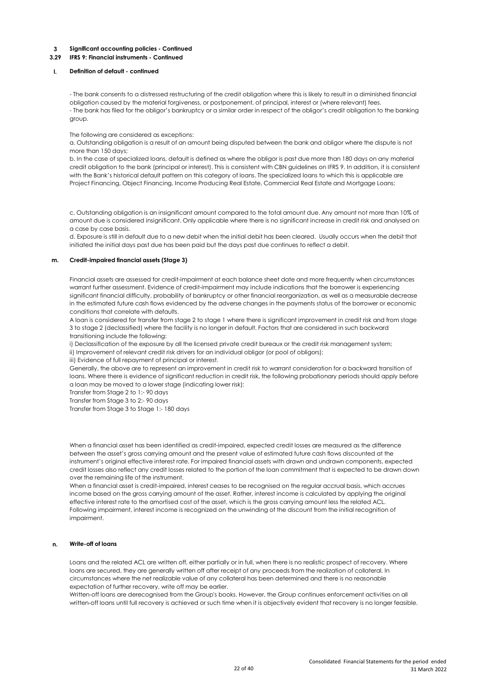#### **3.29 IFRS 9: Financial instruments - Continued**

#### **l. Definition of default - continued**

- The bank consents to a distressed restructuring of the credit obligation where this is likely to result in a diminished financial obligation caused by the material forgiveness, or postponement, of principal, interest or (where relevant) fees. - The bank has filed for the obligor's bankruptcy or a similar order in respect of the obligor's credit obligation to the banking group.

#### The following are considered as exceptions:

a. Outstanding obligation is a result of an amount being disputed between the bank and obligor where the dispute is not more than 150 days;

b. In the case of specialized loans, default is defined as where the obligor is past due more than 180 days on any material credit obligation to the bank (principal or interest). This is consistent with CBN guidelines on IFRS 9. In addition, it is consistent with the Bank's historical default pattern on this category of loans. The specialized loans to which this is applicable are Project Financing, Object Financing, Income Producing Real Estate, Commercial Real Estate and Mortgage Loans;

c. Outstanding obligation is an insignificant amount compared to the total amount due. Any amount not more than 10% of amount due is considered insignificant. Only applicable where there is no significant increase in credit risk and analysed on a case by case basis.

d. Exposure is still in default due to a new debit when the initial debit has been cleared. Usually occurs when the debit that initiated the initial days past due has been paid but the days past due continues to reflect a debit.

#### **m. Credit-impaired financial assets (Stage 3)**

Financial assets are assessed for credit-impairment at each balance sheet date and more frequently when circumstances warrant further assessment. Evidence of credit-impairment may include indications that the borrower is experiencing significant financial difficulty, probability of bankruptcy or other financial reorganization, as well as a measurable decrease in the estimated future cash flows evidenced by the adverse changes in the payments status of the borrower or economic conditions that correlate with defaults.

A loan is considered for transfer from stage 2 to stage 1 where there is significant improvement in credit risk and from stage 3 to stage 2 (declassified) where the facility is no longer in default. Factors that are considered in such backward transitioning include the following:

i) Declassification of the exposure by all the licensed private credit bureaux or the credit risk management system; ii) Improvement of relevant credit risk drivers for an individual obligor (or pool of obligors);

iii) Evidence of full repayment of principal or interest.

Generally, the above are to represent an improvement in credit risk to warrant consideration for a backward transition of loans. Where there is evidence of significant reduction in credit risk, the following probationary periods should apply before a loan may be moved to a lower stage (indicating lower risk):

Transfer from Stage 2 to 1:- 90 days

Transfer from Stage 3 to 2:- 90 days

Transfer from Stage 3 to Stage 1:- 180 days

When a financial asset has been identified as credit-impaired, expected credit losses are measured as the difference between the asset's gross carrying amount and the present value of estimated future cash flows discounted at the instrument's original effective interest rate. For impaired financial assets with drawn and undrawn components, expected credit losses also reflect any credit losses related to the portion of the loan commitment that is expected to be drawn down over the remaining life of the instrument.

When a financial asset is credit-impaired, interest ceases to be recognised on the regular accrual basis, which accrues income based on the gross carrying amount of the asset. Rather, interest income is calculated by applying the original effective interest rate to the amortised cost of the asset, which is the gross carrying amount less the related ACL. Following impairment, interest income is recognized on the unwinding of the discount from the initial recognition of impairment.

#### **n. Write-off of loans**

Loans and the related ACL are written off, either partially or in full, when there is no realistic prospect of recovery. Where loans are secured, they are generally written off after receipt of any proceeds from the realization of collateral. In circumstances where the net realizable value of any collateral has been determined and there is no reasonable expectation of further recovery, write off may be earlier.

Written-off loans are derecognised from the Group's books. However, the Group continues enforcement activities on all written-off loans until full recovery is achieved or such time when it is objectively evident that recovery is no longer feasible.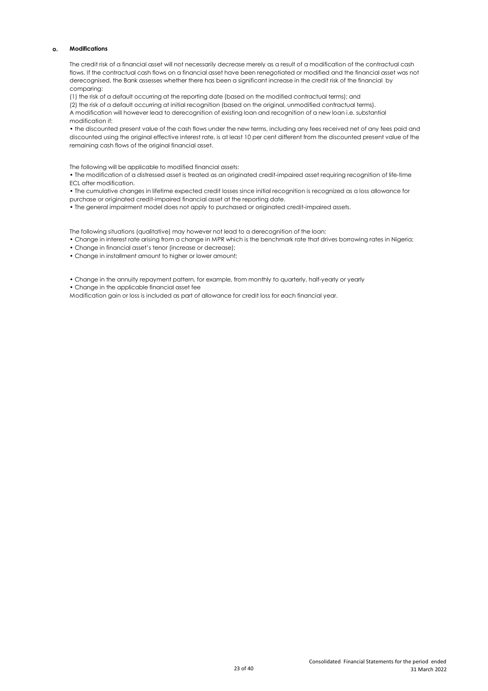# **o. Modifications**

The credit risk of a financial asset will not necessarily decrease merely as a result of a modification of the contractual cash flows. If the contractual cash flows on a financial asset have been renegotiated or modified and the financial asset was not derecognised, the Bank assesses whether there has been a significant increase in the credit risk of the financial by comparing:

(1) the risk of a default occurring at the reporting date (based on the modified contractual terms); and

(2) the risk of a default occurring at initial recognition (based on the original, unmodified contractual terms).

A modification will however lead to derecognition of existing loan and recognition of a new loan i.e. substantial modification if:

• the discounted present value of the cash flows under the new terms, including any fees received net of any fees paid and discounted using the original effective interest rate, is at least 10 per cent different from the discounted present value of the remaining cash flows of the original financial asset.

The following will be applicable to modified financial assets:

• The modification of a distressed asset is treated as an originated credit-impaired asset requiring recognition of life-time ECL after modification.

• The cumulative changes in lifetime expected credit losses since initial recognition is recognized as a loss allowance for purchase or originated credit-impaired financial asset at the reporting date.

• The general impairment model does not apply to purchased or originated credit-impaired assets.

The following situations (qualitative) may however not lead to a derecognition of the loan:

• Change in interest rate arising from a change in MPR which is the benchmark rate that drives borrowing rates in Nigeria;

• Change in financial asset's tenor (increase or decrease);

• Change in installment amount to higher or lower amount;

• Change in the annuity repayment pattern, for example, from monthly to quarterly, half-yearly or yearly

• Change in the applicable financial asset fee

Modification gain or loss is included as part of allowance for credit loss for each financial year.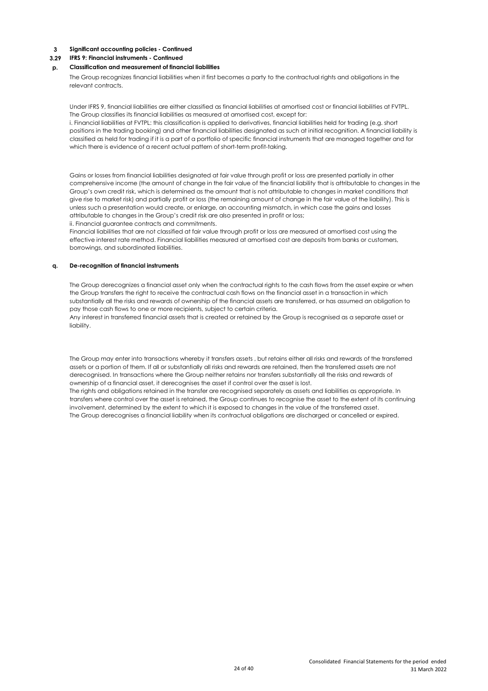#### **3.29 IFRS 9: Financial instruments - Continued**

#### **p. Classification and measurement of financial liabilities**

The Group recognizes financial liabilities when it first becomes a party to the contractual rights and obligations in the relevant contracts.

Under IFRS 9, financial liabilities are either classified as financial liabilities at amortised cost or financial liabilities at FVTPL. The Group classifies its financial liabilities as measured at amortised cost, except for:

i. Financial liabilities at FVTPL: this classification is applied to derivatives, financial liabilities held for trading (e.g. short positions in the trading booking) and other financial liabilities designated as such at initial recognition. A financial liability is classified as held for trading if it is a part of a portfolio of specific financial instruments that are managed together and for which there is evidence of a recent actual pattern of short-term profit-taking.

Gains or losses from financial liabilities designated at fair value through profit or loss are presented partially in other comprehensive income (the amount of change in the fair value of the financial liability that is attributable to changes in the Group's own credit risk, which is determined as the amount that is not attributable to changes in market conditions that give rise to market risk) and partially profit or loss (the remaining amount of change in the fair value of the liability). This is unless such a presentation would create, or enlarge, an accounting mismatch, in which case the gains and losses attributable to changes in the Group's credit risk are also presented in profit or loss; ii. Financial guarantee contracts and commitments.

Financial liabilities that are not classified at fair value through profit or loss are measured at amortised cost using the effective interest rate method. Financial liabilities measured at amortised cost are deposits from banks or customers, borrowings, and subordinated liabilities.

#### **q. De-recognition of financial instruments**

The Group derecognizes a financial asset only when the contractual rights to the cash flows from the asset expire or when the Group transfers the right to receive the contractual cash flows on the financial asset in a transaction in which substantially all the risks and rewards of ownership of the financial assets are transferred, or has assumed an obligation to pay those cash flows to one or more recipients, subject to certain criteria.

Any interest in transferred financial assets that is created or retained by the Group is recognised as a separate asset or liability.

The Group may enter into transactions whereby it transfers assets , but retains either all risks and rewards of the transferred assets or a portion of them. If all or substantially all risks and rewards are retained, then the transferred assets are not derecognised. In transactions where the Group neither retains nor transfers substantially all the risks and rewards of ownership of a financial asset, it derecognises the asset if control over the asset is lost.

The rights and obligations retained in the transfer are recognised separately as assets and liabilities as appropriate. In transfers where control over the asset is retained, the Group continues to recognise the asset to the extent of its continuing involvement, determined by the extent to which it is exposed to changes in the value of the transferred asset. The Group derecognises a financial liability when its contractual obligations are discharged or cancelled or expired.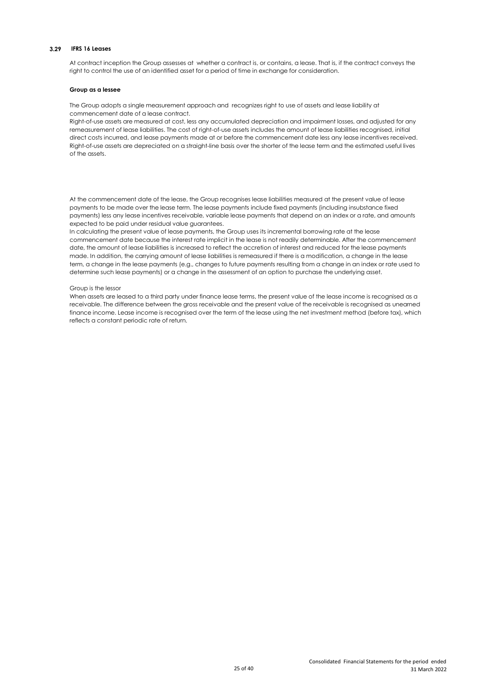#### **3.29 IFRS 16 Leases**

At contract inception the Group assesses at whether a contract is, or contains, a lease. That is, if the contract conveys the right to control the use of an identified asset for a period of time in exchange for consideration.

#### **Group as a lessee**

The Group adopts a single measurement approach and recognizes right to use of assets and lease liability at commencement date of a lease contract.

Right-of-use assets are measured at cost, less any accumulated depreciation and impairment losses, and adjusted for any remeasurement of lease liabilities. The cost of right-of-use assets includes the amount of lease liabilities recognised, initial direct costs incurred, and lease payments made at or before the commencement date less any lease incentives received. Right-of-use assets are depreciated on a straight-line basis over the shorter of the lease term and the estimated useful lives of the assets.

At the commencement date of the lease, the Group recognises lease liabilities measured at the present value of lease payments to be made over the lease term. The lease payments include fixed payments (including insubstance fixed payments) less any lease incentives receivable, variable lease payments that depend on an index or a rate, and amounts expected to be paid under residual value guarantees.

In calculating the present value of lease payments, the Group uses its incremental borrowing rate at the lease commencement date because the interest rate implicit in the lease is not readily determinable. After the commencement date, the amount of lease liabilities is increased to reflect the accretion of interest and reduced for the lease payments made. In addition, the carrying amount of lease liabilities is remeasured if there is a modification, a change in the lease term, a change in the lease payments (e.g., changes to future payments resulting from a change in an index or rate used to determine such lease payments) or a change in the assessment of an option to purchase the underlying asset.

### Group is the lessor

When assets are leased to a third party under finance lease terms, the present value of the lease income is recognised as a receivable. The difference between the gross receivable and the present value of the receivable is recognised as unearned finance income. Lease income is recognised over the term of the lease using the net investment method (before tax), which reflects a constant periodic rate of return.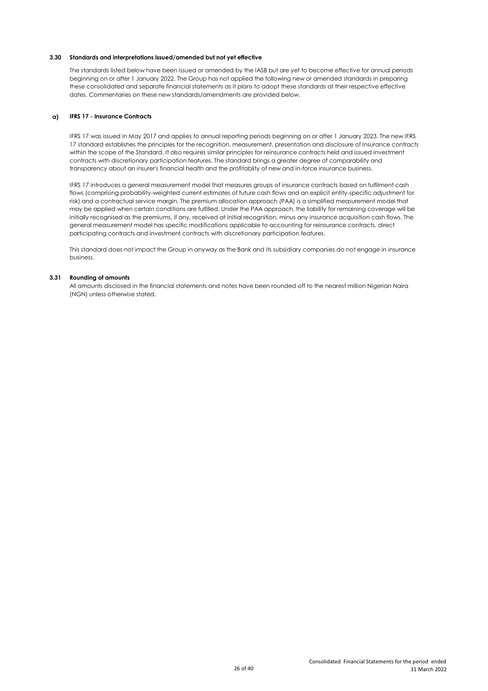#### **3.30 Standards and interpretations issued/amended but not yet effective**

The standards listed below have been issued or amended by the IASB but are yet to become effective for annual periods beginning on or after 1 January 2022. The Group has not applied the following new or amended standards in preparing these consolidated and separate financial statements as it plans to adopt these standards at their respective effective dates. Commentaries on these new standards/amendments are provided below.

### **a) IFRS 17 - Insurance Contracts**

IFRS 17 was issued in May 2017 and applies to annual reporting periods beginning on or after 1 January 2023. The new IFRS 17 standard establishes the principles for the recognition, measurement, presentation and disclosure of Insurance contracts within the scope of the Standard. It also requires similar principles for reinsurance contracts held and issued investment contracts with discretionary participation features. The standard brings a greater degree of comparability and transparency about an insurer's financial health and the profitablity of new and in-force insurance business.

IFRS 17 introduces a general measurement model that measures groups of insurance contracts based on fulfilment cash flows (comprising probability-weighted current estimates of future cash flows and an explicit entity-specific adjustment for risk) and a contractual service margin. The premium allocation approach (PAA) is a simplified measurement model that may be applied when certain conditions are fulfilled. Under the PAA approach, the liability for remaining coverage will be initially recognised as the premiums, if any, received at initial recognition, minus any insurance acquisition cash flows. The general measurement model has specific modifications applicable to accounting for reinsurance contracts, direct participating contracts and investment contracts with discretionary participation features.

This standard does not impact the Group in anyway as the Bank and its subsidiary companies do not engage in insurance business.

#### **3.31 Rounding of amounts**

All amounts disclosed in the financial statements and notes have been rounded off to the nearest million Nigerian Naira (NGN) unless otherwise stated.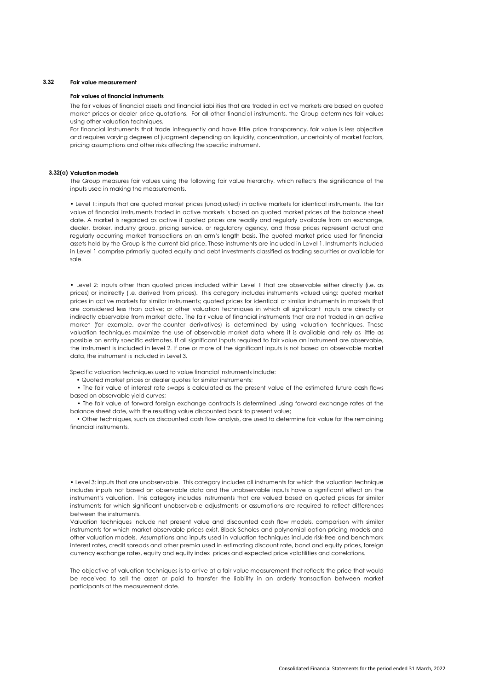# **3.32 Fair value measurement**

#### **Fair values of financial instruments**

The fair values of financial assets and financial liabilities that are traded in active markets are based on quoted market prices or dealer price quotations. For all other financial instruments, the Group determines fair values using other valuation techniques.

For financial instruments that trade infrequently and have little price transparency, fair value is less objective and requires varying degrees of judgment depending on liquidity, concentration, uncertainty of market factors, pricing assumptions and other risks affecting the specific instrument.

#### **3.32(a) Valuation models**

The Group measures fair values using the following fair value hierarchy, which reflects the significance of the inputs used in making the measurements.

• Level 1: inputs that are quoted market prices (unadjusted) in active markets for identical instruments. The fair value of financial instruments traded in active markets is based on quoted market prices at the balance sheet date. A market is regarded as active if quoted prices are readily and regularly available from an exchange, dealer, broker, industry group, pricing service, or regulatory agency, and those prices represent actual and regularly occurring market transactions on an arm's length basis. The quoted market price used for financial assets held by the Group is the current bid price. These instruments are included in Level 1. Instruments included in Level 1 comprise primarily quoted equity and debt investments classified as trading securities or available for sale.

• Level 2: inputs other than quoted prices included within Level 1 that are observable either directly (i.e. as prices) or indirectly (i.e. derived from prices). This category includes instruments valued using: quoted market prices in active markets for similar instruments; quoted prices for identical or similar instruments in markets that are considered less than active; or other valuation techniques in which all significant inputs are directly or indirectly observable from market data. The fair value of financial instruments that are not traded in an active market (for example, over-the-counter derivatives) is determined by using valuation techniques. These valuation techniques maximize the use of observable market data where it is available and rely as little as possible on entity specific estimates. If all significant inputs required to fair value an instrument are observable, the instrument is included in level 2. If one or more of the significant inputs is not based on observable market data, the instrument is included in Level 3.

Specific valuation techniques used to value financial instruments include:

• Quoted market prices or dealer quotes for similar instruments;

• The fair value of interest rate swaps is calculated as the present value of the estimated future cash flows based on observable yield curves;

• The fair value of forward foreign exchange contracts is determined using forward exchange rates at the balance sheet date, with the resulting value discounted back to present value;

• Other techniques, such as discounted cash flow analysis, are used to determine fair value for the remaining financial instruments.

• Level 3: inputs that are unobservable. This category includes all instruments for which the valuation technique includes inputs not based on observable data and the unobservable inputs have a significant effect on the instrument's valuation. This category includes instruments that are valued based on quoted prices for similar instruments for which significant unobservable adjustments or assumptions are required to reflect differences between the instruments.

Valuation techniques include net present value and discounted cash flow models, comparison with similar instruments for which market observable prices exist, Black-Scholes and polynomial option pricing models and other valuation models. Assumptions and inputs used in valuation techniques include risk-free and benchmark interest rates, credit spreads and other premia used in estimating discount rate, bond and equity prices, foreign currency exchange rates, equity and equity index prices and expected price volatilities and correlations.

The objective of valuation techniques is to arrive at a fair value measurement that reflects the price that would be received to sell the asset or paid to transfer the liability in an orderly transaction between market participants at the measurement date.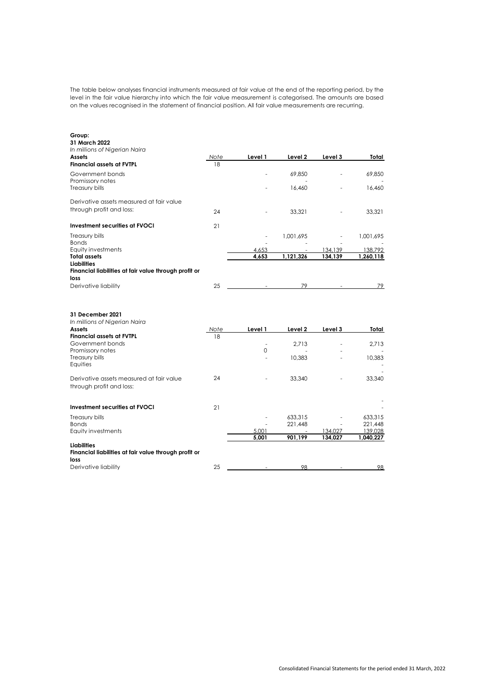The table below analyses financial instruments measured at fair value at the end of the reporting period, by the level in the fair value hierarchy into which the fair value measurement is categorised. The amounts are based on the values recognised in the statement of financial position. All fair value measurements are recurring.

| Group:<br>31 March 2022<br>In millions of Nigerian Naira<br>Assets                  | Note | Level 1        | Level 2            | Level 3            | Total                |
|-------------------------------------------------------------------------------------|------|----------------|--------------------|--------------------|----------------------|
| <b>Financial assets at FVTPL</b>                                                    | 18   |                |                    |                    |                      |
| Government bonds<br>Promissory notes                                                |      |                | 69.850             |                    | 69.850               |
| Treasury bills                                                                      |      |                | 16.460             |                    | 16.460               |
| Derivative assets measured at fair value<br>through profit and loss:                | 24   |                | 33,321             |                    | 33.321               |
| Investment securities at FVOCI                                                      | 21   |                |                    |                    |                      |
| Treasury bills<br><b>Bonds</b>                                                      |      |                | 1,001,695          |                    | 1,001,695            |
| Equity investments<br><b>Total assets</b>                                           |      | 4.653<br>4,653 | 1,121,326          | 134.139<br>134,139 | 138.792<br>1,260,118 |
| <b>Liabilities</b><br>Financial liabilities at fair value through profit or<br>loss |      |                |                    |                    |                      |
| Derivative liability                                                                | 25   |                | 79                 |                    | 79                   |
| 31 December 2021<br>In millions of Nigerian Naira<br><b>Assets</b>                  | Note | Level 1        | Level 2            | Level 3            | Total                |
| <b>Financial assets at FVTPL</b><br>Government bonds                                | 18   | ÷,             | 2.713              |                    | 2.713                |
| Promissory notes<br>Treasury bills<br>Equities                                      |      | 0              | 10,383             |                    | 10.383               |
| Derivative assets measured at fair value<br>through profit and loss:                | 24   |                | 33,340             |                    | 33,340               |
| <b>Investment securities at FVOCI</b>                                               | 21   |                |                    |                    |                      |
| Treasury bills<br><b>Bonds</b>                                                      |      |                | 633.315<br>221.448 |                    | 633.315<br>221,448   |
| <b>Equity investments</b>                                                           |      | 5.001          |                    | 134,027            | 139,028              |
| <b>Liabilities</b><br>Financial liabilities at fair value through profit or<br>loss |      | 5.001          | 901,199            | 134.027            | 1,040,227            |
| Derivative liability                                                                | 25   |                | 98                 |                    | 98                   |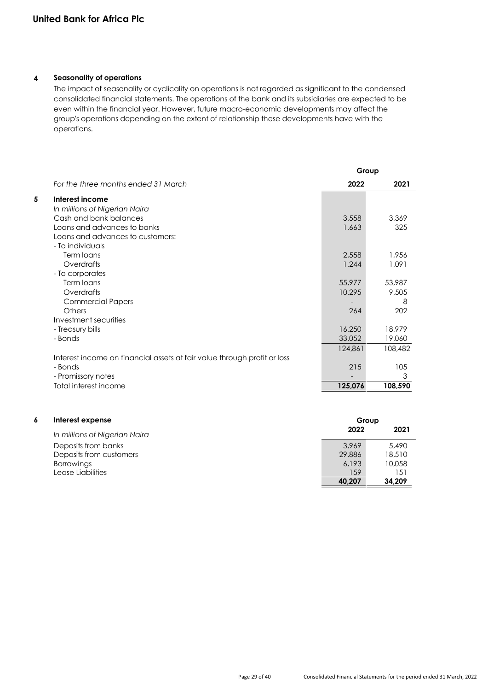# **4 Seasonality of operations**

The impact of seasonality or cyclicality on operations is not regarded as significant to the condensed consolidated financial statements. The operations of the bank and its subsidiaries are expected to be even within the financial year. However, future macro-economic developments may affect the group's operations depending on the extent of relationship these developments have with the operations.

|   |                                                                          |         | Group   |
|---|--------------------------------------------------------------------------|---------|---------|
|   | For the three months ended 31 March                                      | 2022    | 2021    |
| 5 | Interest income                                                          |         |         |
|   | In millions of Nigerian Naira                                            |         |         |
|   | Cash and bank balances                                                   | 3,558   | 3,369   |
|   | Loans and advances to banks                                              | 1,663   | 325     |
|   | Loans and advances to customers:                                         |         |         |
|   | - To individuals                                                         |         |         |
|   | Term loans                                                               | 2,558   | 1.956   |
|   | Overdrafts                                                               | 1,244   | 1,091   |
|   | - To corporates                                                          |         |         |
|   | Term loans                                                               | 55,977  | 53,987  |
|   | Overdrafts                                                               | 10,295  | 9,505   |
|   | <b>Commercial Papers</b>                                                 |         | 8       |
|   | Others                                                                   | 264     | 202     |
|   | Investment securities                                                    |         |         |
|   | - Treasury bills                                                         | 16,250  | 18,979  |
|   | - Bonds                                                                  | 33,052  | 19,060  |
|   |                                                                          | 124,861 | 108,482 |
|   | Interest income on financial assets at fair value through profit or loss |         |         |
|   | - Bonds                                                                  | 215     | 105     |
|   | - Promissory notes                                                       |         | 3       |
|   | Total interest income                                                    | 125,076 | 108,590 |
|   |                                                                          |         |         |

| 6 | Interest expense              |        | Group  |
|---|-------------------------------|--------|--------|
|   | In millions of Nigerian Naira | 2022   | 2021   |
|   | Deposits from banks           | 3.969  | 5,490  |
|   | Deposits from customers       | 29,886 | 18,510 |
|   | <b>Borrowings</b>             | 6.193  | 10,058 |
|   | Lease Liabilities             | 159    | 151    |
|   |                               | 40.207 | 34.209 |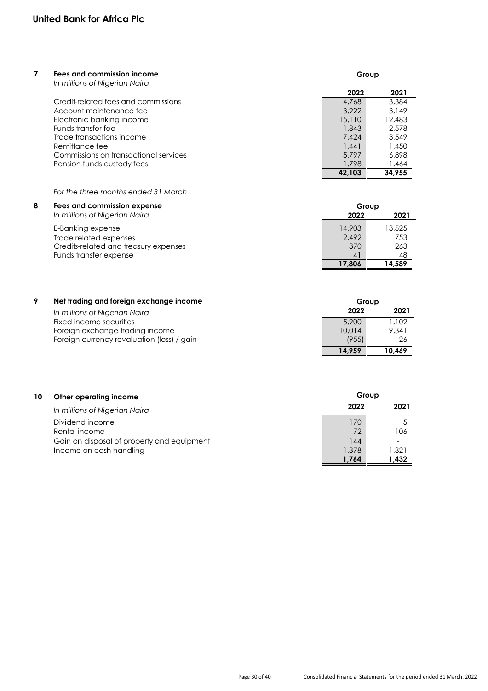| 7 | Fees and commission income<br>In millions of Nigerian Naira | Group  |        |
|---|-------------------------------------------------------------|--------|--------|
|   |                                                             | 2022   | 2021   |
|   | Credit-related fees and commissions                         | 4,768  | 3,384  |
|   | Account maintenance fee                                     | 3.922  | 3.149  |
|   | Electronic banking income                                   | 15,110 | 12.483 |
|   | Funds transfer fee                                          | 1,843  | 2.578  |
|   | Trade transactions income                                   | 7.424  | 3.549  |
|   | Remittance fee                                              | 1.441  | 1,450  |
|   | Commissions on transactional services                       | 5.797  | 6.898  |
|   | Pension funds custody fees                                  | 1.798  | 1,464  |
|   |                                                             | 42.103 | 34.955 |

# *For the three months ended 31 March*

| 8 | Fees and commission expense                                                          | Group                  |                      |
|---|--------------------------------------------------------------------------------------|------------------------|----------------------|
|   | In millions of Nigerian Naira                                                        | 2022                   | 2021                 |
|   | E-Banking expense<br>Trade related expenses<br>Credits-related and treasury expenses | 14,903<br>2.492<br>370 | 13,525<br>753<br>263 |
|   | Funds transfer expense                                                               | 4 <sup>1</sup>         | 48                   |
|   |                                                                                      | 17,806                 | 14.589               |

| 9 | Net trading and foreign exchange income    | Group  |        |
|---|--------------------------------------------|--------|--------|
|   | In millions of Nigerian Naira              | 2022   | 2021   |
|   | Fixed income securities                    | 5.900  | 1.102  |
|   | Foreign exchange trading income            | 10.014 | 9.341  |
|   | Foreign currency revaluation (loss) / gain | (955)  | -26    |
|   |                                            | 14.959 | 10,469 |

| 10<br>Other operating income               | Group     |       |
|--------------------------------------------|-----------|-------|
| In millions of Nigerian Naira              | 2022      | 2021  |
| Dividend income<br>Rental income           | 170<br>72 |       |
| Gain on disposal of property and equipment | 144       | 106   |
| Income on cash handling                    | 1,378     | 1,321 |
|                                            | 1.764     | 1,432 |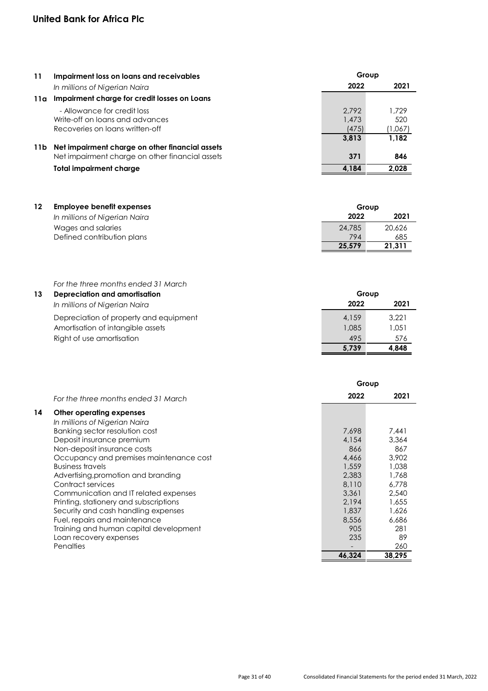| 11  | Impairment loss on loans and receivables                                                           |                         | Group                   |  |
|-----|----------------------------------------------------------------------------------------------------|-------------------------|-------------------------|--|
|     | In millions of Nigerian Naira                                                                      | 2022                    | 2021                    |  |
| 11a | Impairment charge for credit losses on Loans                                                       |                         |                         |  |
|     | - Allowance for credit loss<br>Write-off on loans and advances<br>Recoveries on loans written-off  | 2.792<br>1,473<br>(475) | 1.729<br>520<br>(1,067) |  |
| 11b | Net impairment charge on other financial assets<br>Net impairment charge on other financial assets | 3.813<br>371            | 1.182<br>846            |  |
|     | Total impairment charge                                                                            | 4.184                   | 2.028                   |  |

| 12 | <b>Employee benefit expenses</b> |        | Group  |  |
|----|----------------------------------|--------|--------|--|
|    | In millions of Nigerian Naira    | 2022   | 2021   |  |
|    | Wages and salaries               | 24,785 | 20,626 |  |
|    | Defined contribution plans       | 794    | 685    |  |
|    |                                  | 25.579 | 21.311 |  |

*For the three months ended 31 March*

| 13 | <b>Depreciation and amortisation</b>   |       | Group |
|----|----------------------------------------|-------|-------|
|    | In millions of Nigerian Naira          | 2022  | 2021  |
|    | Depreciation of property and equipment | 4.159 | 3.221 |
|    | Amortisation of intangible assets      | 1.085 | 1.051 |
|    | Right of use amortisation              | 495   | 576   |
|    |                                        | 5.739 | 4.848 |

|    |                                         | Group  |        |
|----|-----------------------------------------|--------|--------|
|    | For the three months ended 31 March     | 2022   | 2021   |
| 14 | Other operating expenses                |        |        |
|    | In millions of Nigerian Naira           |        |        |
|    | Banking sector resolution cost          | 7.698  | 7.441  |
|    | Deposit insurance premium               | 4.154  | 3.364  |
|    | Non-deposit insurance costs             | 866    | 867    |
|    | Occupancy and premises maintenance cost | 4,466  | 3.902  |
|    | <b>Business travels</b>                 | 1,559  | 1.038  |
|    | Advertising, promotion and branding     | 2,383  | 1,768  |
|    | Contract services                       | 8,110  | 6.778  |
|    | Communication and IT related expenses   | 3.361  | 2,540  |
|    | Printing, stationery and subscriptions  | 2.194  | 1.655  |
|    | Security and cash handling expenses     | 1,837  | 1.626  |
|    | Fuel, repairs and maintenance           | 8,556  | 6.686  |
|    | Training and human capital development  | 905    | 281    |
|    | Loan recovery expenses                  | 235    | 89     |
|    | Penalties                               |        | 260    |
|    |                                         | 46,324 | 38,295 |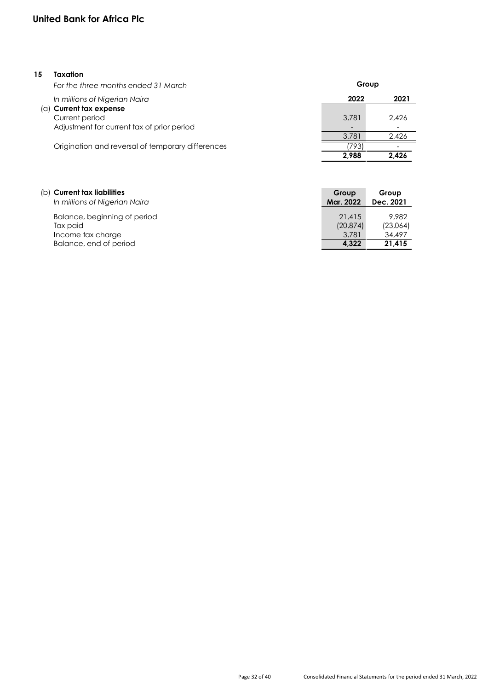# **United Bank for Africa Plc**

# **15 Taxation**

| For the three months ended 31 March                          | Group                             |       |
|--------------------------------------------------------------|-----------------------------------|-------|
| In millions of Nigerian Naira<br>$(a)$ Current tax expense   | 2022                              | 2021  |
| Current period<br>Adjustment for current tax of prior period | 3.781<br>$\overline{\phantom{0}}$ | 2.426 |
|                                                              | 3.781                             | 2.426 |
| Origination and reversal of temporary differences            | '793                              |       |
|                                                              | 2.988                             | 2.426 |

| (b) Current tax liabilities<br>In millions of Nigerian Naira | Group<br>Mar. 2022 | Group<br>Dec. 2021 |
|--------------------------------------------------------------|--------------------|--------------------|
| Balance, beginning of period                                 | 21.415             | 9.982              |
| Tax paid                                                     | (20, 874)          | (23,064)           |
| Income tax charge                                            | 3.781              | 34,497             |
| Balance, end of period                                       | 4.322              | 21.415             |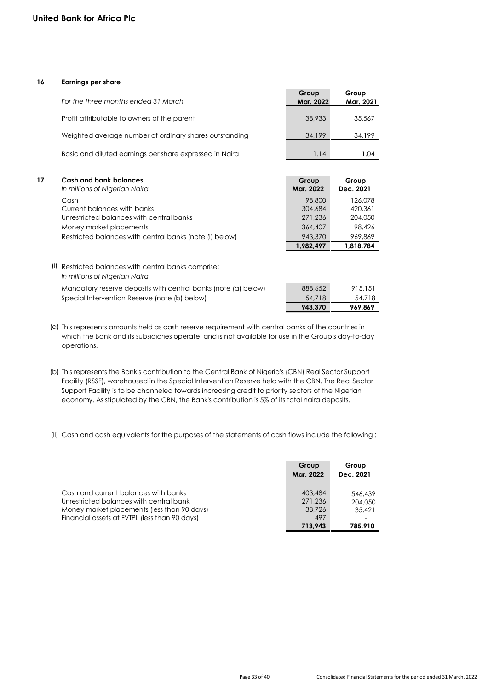# **16 Earnings per share**

| For the three months ended 31 March                     | Group<br>Mar. 2022 | Group<br>Mar. 2021 |
|---------------------------------------------------------|--------------------|--------------------|
| Profit attributable to owners of the parent             | 38,933             | 35,567             |
| Weighted average number of ordinary shares outstanding  | 34,199             | 34,199             |
| Basic and diluted earnings per share expressed in Naira | 1.14               | 1.04               |
|                                                         |                    |                    |

| 17 | Cash and bank balances<br>In millions of Nigerian Naira | Group<br>Mar. 2022 | Group<br>Dec. 2021 |
|----|---------------------------------------------------------|--------------------|--------------------|
|    | Cash                                                    | 98,800             | 126.078            |
|    | Current balances with banks                             | 304,684            | 420.361            |
|    | Unrestricted balances with central banks                | 271,236            | 204,050            |
|    | Money market placements                                 | 364,407            | 98,426             |
|    | Restricted balances with central banks (note (i) below) | 943,370            | 969,869            |
|    |                                                         | 1.982.497          | 1.818.784          |

(i) Restricted balances with central banks comprise: *In millions of Nigerian Naira* Mandatory reserve deposits with central banks (note (a) below) Special Intervention Reserve (note (b) below)

| 943,370 | 969,869 |
|---------|---------|
| 54,718  | 54,718  |
| 888,652 | 915.151 |

(a) This represents amounts held as cash reserve requirement with central banks of the countries in which the Bank and its subsidiaries operate, and is not available for use in the Group's day-to-day operations.

(b) This represents the Bank's contribution to the Central Bank of Nigeria's (CBN) Real Sector Support Facility (RSSF), warehoused in the Special Intervention Reserve held with the CBN. The Real Sector Support Facility is to be channeled towards increasing credit to priority sectors of the Nigerian economy. As stipulated by the CBN, the Bank's contribution is 5% of its total naira deposits.

(ii) Cash and cash equivalents for the purposes of the statements of cash flows include the following :

|                                               | Group     | Group     |
|-----------------------------------------------|-----------|-----------|
|                                               | Mar. 2022 | Dec. 2021 |
|                                               |           |           |
| Cash and current balances with banks          | 403.484   | 546.439   |
| Unrestricted balances with central bank       | 271,236   | 204.050   |
| Money market placements (less than 90 days)   | 38,726    | 35,421    |
| Financial assets at FVTPL (less than 90 days) | 497       |           |
|                                               | 713.943   | 785.910   |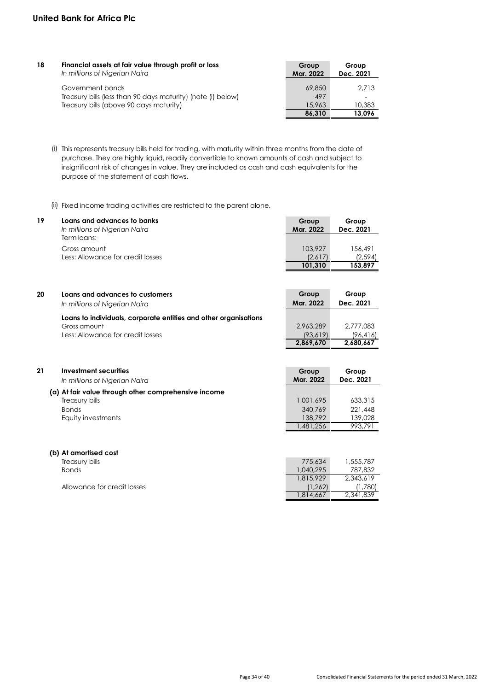| 18 | Financial assets at fair value through profit or loss<br>In millions of Nigerian Naira                                      | Group<br>Mar. 2022      | Group<br>Dec. 2021 |
|----|-----------------------------------------------------------------------------------------------------------------------------|-------------------------|--------------------|
|    | Government bonds<br>Treasury bills (less than 90 days maturity) (note (i) below)<br>Treasury bills (above 90 days maturity) | 69,850<br>497<br>15.963 | 2.713<br>10,383    |
|    |                                                                                                                             | 86.310                  | 13.096             |

(i) This represents treasury bills held for trading, with maturity within three months from the date of purchase. They are highly liquid, readily convertible to known amounts of cash and subject to insignificant risk of changes in value. They are included as cash and cash equivalents for the purpose of the statement of cash flows.

(ii) Fixed income trading activities are restricted to the parent alone.

| 19 | Loans and advances to banks<br>In millions of Nigerian Naira | Group<br>Mar. 2022 | Group<br>Dec. 2021 |
|----|--------------------------------------------------------------|--------------------|--------------------|
|    | Term loans:                                                  |                    |                    |
|    | Gross amount                                                 | 103,927            | 156.491            |
|    | Less: Allowance for credit losses                            | (2,617)            | (2,594)            |
|    |                                                              | 101.310            | 153.897            |

| 20 | Loans and advances to customers<br>In millions of Nigerian Naira | Group<br>Mar. 2022 | Group<br>Dec. 2021 |
|----|------------------------------------------------------------------|--------------------|--------------------|
|    | Loans to individuals, corporate entities and other organisations |                    |                    |
|    | Gross amount                                                     | 2.963.289          | 2.777.083          |
|    | Less: Allowance for credit losses                                | (93,619)           | (96, 416)          |
|    |                                                                  | 2,869,670          | 2,680,667          |

| 21 | Investment securities                                | Group     | Group     |
|----|------------------------------------------------------|-----------|-----------|
|    | In millions of Nigerian Naira                        | Mar. 2022 | Dec. 2021 |
|    | (a) At fair value through other comprehensive income | 1,001,695 | 633,315   |
|    | Treasury bills                                       | 340,769   | 221,448   |
|    | <b>Bonds</b>                                         | 138,792   | 139,028   |
|    | Equity investments                                   | 1,481,256 | 993.791   |
|    | (b) At amortised cost                                |           |           |

| Treasury bills              | 775,634   | 1,555,787 |
|-----------------------------|-----------|-----------|
| <b>Bonds</b>                | 1,040,295 | 787.832   |
|                             | 1.815.929 | 2.343.619 |
| Allowance for credit losses | (1,262)   | (780, ا   |
|                             | ,814,667  | 2.341.839 |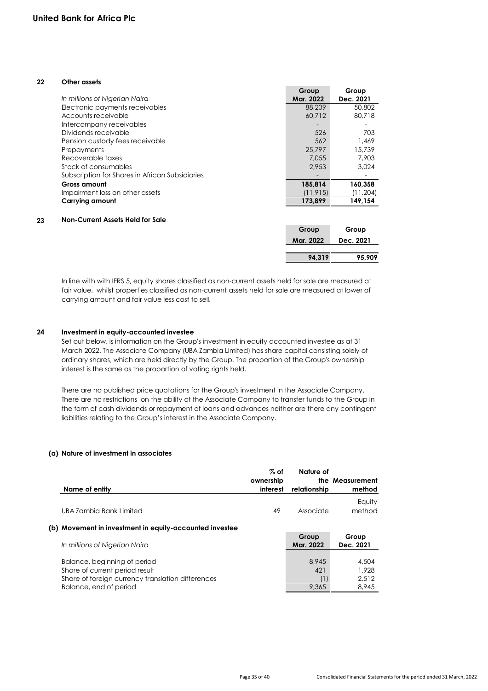# **22 Other assets**

|    |                                                 | Group     | Group     |
|----|-------------------------------------------------|-----------|-----------|
|    | In millions of Nigerian Naira                   | Mar. 2022 | Dec. 2021 |
|    | Electronic payments receivables                 | 88,209    | 50,802    |
|    | Accounts receivable                             | 60.712    | 80.718    |
|    | Intercompany receivables                        |           |           |
|    | Dividends receivable                            | 526       | 703       |
|    | Pension custody fees receivable                 | 562       | 1.469     |
|    | Prepayments                                     | 25,797    | 15,739    |
|    | Recoverable taxes                               | 7.055     | 7.903     |
|    | Stock of consumables                            | 2.953     | 3,024     |
|    | Subscription for Shares in African Subsidiaries |           |           |
|    | Gross amount                                    | 185,814   | 160,358   |
|    | Impairment loss on other assets                 | (11, 915) | (11,204)  |
|    | Carrying amount                                 | 173,899   | 149,154   |
| 23 | Non-Current Assets Held for Sale                |           |           |
|    |                                                 | Group     | Group     |
|    |                                                 | Mar. 2022 | Dec. 2021 |

In line with with IFRS 5, equity shares classified as non-current assets held for sale are measured at fair value, whilst properties classified as non-current assets held for sale are measured at lower of carrying amount and fair value less cost to sell.

 **94,319 95,909** 

# **24 Investment in equity-accounted investee**

Set out below, is information on the Group's investment in equity accounted investee as at 31 March 2022. The Associate Company (UBA Zambia Limited) has share capital consisting solely of ordinary shares, which are held directly by the Group. The proportion of the Group's ownership interest is the same as the proportion of voting rights held.

There are no published price quotations for the Group's investment in the Associate Company. There are no restrictions on the ability of the Associate Company to transfer funds to the Group in the form of cash dividends or repayment of loans and advances neither are there any contingent liabilities relating to the Group's interest in the Associate Company.

# **(a) Nature of investment in associates**

| Name of entity                                                              | % of<br>ownership<br>interest | Nature of<br>relationship | the Measurement<br>method |
|-----------------------------------------------------------------------------|-------------------------------|---------------------------|---------------------------|
| UBA Zambia Bank Limited                                                     | 49                            | Associate                 | Equity<br>method          |
| (b) Movement in investment in equity-accounted investee                     |                               |                           |                           |
| In millions of Nigerian Naira                                               |                               | Group<br>Mar. 2022        | Group<br>Dec. 2021        |
| Balance, beginning of period                                                |                               | 8.945                     | 4,504                     |
| Share of current period result                                              |                               | 421                       | 1.928                     |
| Share of foreign currency translation differences<br>Balance, end of period |                               | 9.365                     | 2,512<br>8.945            |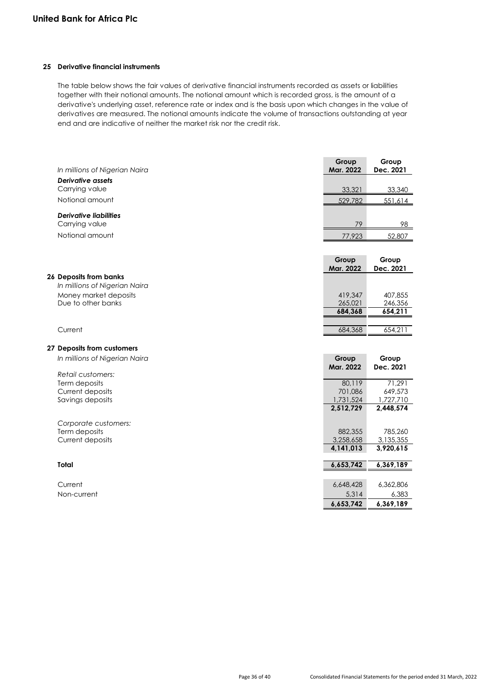# **25 Derivative financial instruments**

The table below shows the fair values of derivative financial instruments recorded as assets or liabilities together with their notional amounts. The notional amount which is recorded gross, is the amount of a derivative's underlying asset, reference rate or index and is the basis upon which changes in the value of derivatives are measured. The notional amounts indicate the volume of transactions outstanding at year end and are indicative of neither the market risk nor the credit risk.

| In millions of Nigerian Naira | Group<br>Mar. 2022 | Group<br>Dec. 2021 |
|-------------------------------|--------------------|--------------------|
| <b>Derivative assets</b>      |                    |                    |
| Carrying value                | 33,321             | 33,340             |
| Notional amount               | 529,782            | 551,614            |
| <b>Derivative liabilities</b> |                    |                    |
| Carrying value                | 79                 | 98                 |
| Notional amount               | 77,923             |                    |
|                               |                    | 52,807             |
|                               |                    |                    |
|                               | Group<br>Mar. 2022 | Group<br>Dec. 2021 |
| 26 Deposits from banks        |                    |                    |
| In millions of Nigerian Naira |                    |                    |
| Money market deposits         | 419,347            | 407,855            |
| Due to other banks            | 265,021            | 246,356            |
|                               | 684,368            | 654,211            |
|                               |                    |                    |
| Current                       | 684,368            | 654,211            |
| 27 Deposits from customers    |                    |                    |
|                               |                    |                    |
| In millions of Nigerian Naira | Group<br>Mar. 2022 | Group<br>Dec. 2021 |
| Retail customers:             |                    |                    |
| Term deposits                 | 80,119             | 71,291             |
| Current deposits              | 701,086            | 649,573            |
| Savings deposits              | 1,731,524          | 1,727,710          |
|                               | 2,512,729          | 2,448,574          |
| Corporate customers:          |                    |                    |
| Term deposits                 | 882,355            | 785,260            |
| Current deposits              | 3,258,658          | 3,135,355          |
|                               | 4,141,013          | 3,920,615          |
| <b>Total</b>                  | 6,653,742          | 6,369,189          |
|                               |                    |                    |
| Current                       | 6,648,428          | 6,362,806          |
| Non-current                   | 5,314              | 6,383              |
|                               | 6,653,742          | 6,369,189          |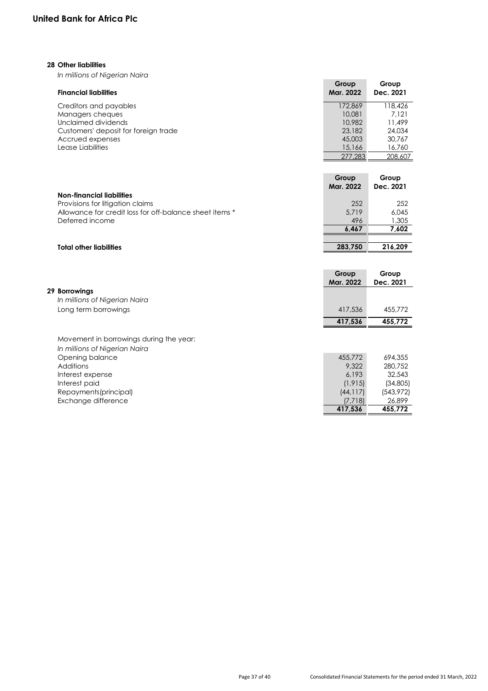# **28 Other liabilities**

*In millions of Nigerian Naira*

| <b>Financial liabilities</b>         | Group<br>Mar. 2022 | Group<br>Dec. 2021 |
|--------------------------------------|--------------------|--------------------|
| Creditors and payables               | 172.869            | 118,426            |
| Managers cheques                     | 10,081             | 7.121              |
| Unclaimed dividends                  | 10.982             | 11.499             |
| Customers' deposit for foreign trade | 23,182             | 24,034             |
| Accrued expenses                     | 45,003             | 30,767             |
| Lease Liabilities                    | 15,166             | 16,760             |
|                                      | 277.283            | 208,607            |

|                                                         | Group<br>Mar. 2022 | Group<br>Dec. 2021 |
|---------------------------------------------------------|--------------------|--------------------|
| Non-financial liabilities                               |                    |                    |
| Provisions for litigation claims                        | 252                | 252                |
| Allowance for credit loss for off-balance sheet items * | 5.719              | 6.045              |
| Deferred income                                         | 496                | 1,305              |
|                                                         | 6.467              | 7,602              |
|                                                         |                    |                    |

# **Total other liabilities 283,750 216,209**

|                                                                          | Group<br>Mar. 2022 | Group<br>Dec. 2021 |
|--------------------------------------------------------------------------|--------------------|--------------------|
| 29 Borrowings                                                            |                    |                    |
| In millions of Nigerian Naira                                            |                    |                    |
| Long term borrowings                                                     | 417,536            | 455,772            |
|                                                                          | 417.536            | 455,772            |
| Movement in borrowings during the year:<br>In millions of Nigerian Naira |                    |                    |
| Opening balance                                                          | 455,772            | 694,355            |
| Additions                                                                | 9.322              | 280.752            |
| Interest expense                                                         | 6.193              | 32,543             |
| Interest paid                                                            | (1, 915)           | (34, 805)          |
| Repayments (principal)                                                   | (44, 117)          | (543, 972)         |
| Exchange difference                                                      | (7,718)            | 26,899             |
|                                                                          | 417,536            | 455.772            |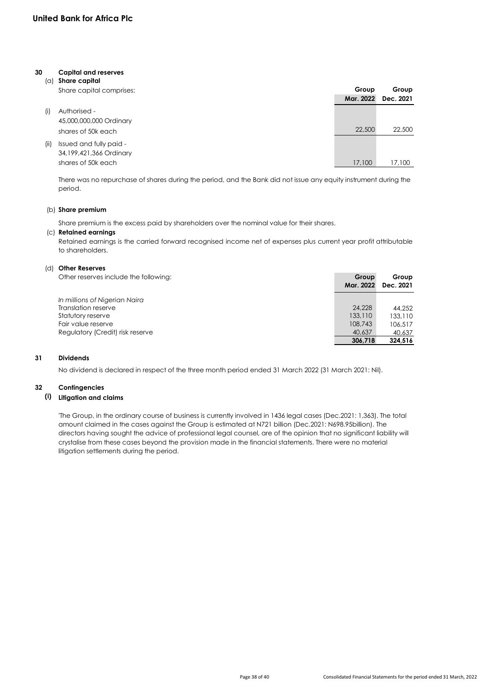# **30 Capital and reserves**

| (a)  | Share capital            |           |           |
|------|--------------------------|-----------|-----------|
|      | Share capital comprises: | Group     | Group     |
|      |                          | Mar. 2022 | Dec. 2021 |
| (i)  | Authorised -             |           |           |
|      | 45,000,000,000 Ordinary  |           |           |
|      | shares of 50k each       | 22,500    | 22,500    |
| (ii) | Issued and fully paid -  |           |           |
|      | 34,199,421,366 Ordinary  |           |           |
|      | shares of 50k each       | 17,100    | 17,100    |

There was no repurchase of shares during the period, and the Bank did not issue any equity instrument during the period.

# (b) **Share premium**

Share premium is the excess paid by shareholders over the nominal value for their shares.

# (c) **Retained earnings**

Retained earnings is the carried forward recognised income net of expenses plus current year profit attributable to shareholders.

# (d) **Other Reserves**

| Other reserves include the following: | Group<br>Mar. 2022 | Group<br>Dec. 2021 |
|---------------------------------------|--------------------|--------------------|
| In millions of Nigerian Naira         |                    |                    |
| Translation reserve                   | 24,228             | 44,252             |
| Statutory reserve                     | 133,110            | 133,110            |
| Fair value reserve                    | 108,743            | 106,517            |
| Regulatory (Credit) risk reserve      | 40,637             | 40.637             |
|                                       | 306.718            | 324.516            |

# **31 Dividends**

No dividend is declared in respect of the three month period ended 31 March 2022 (31 March 2021: Nil).

# **32 Contingencies**

# **(i) Litigation and claims**

'The Group, in the ordinary course of business is currently involved in 1436 legal cases (Dec.2021: 1,363). The total amount claimed in the cases against the Group is estimated at N721 billion (Dec.2021: N698.95billion). The directors having sought the advice of professional legal counsel, are of the opinion that no significant liability will crystalise from these cases beyond the provision made in the financial statements. There were no material litigation settlements during the period.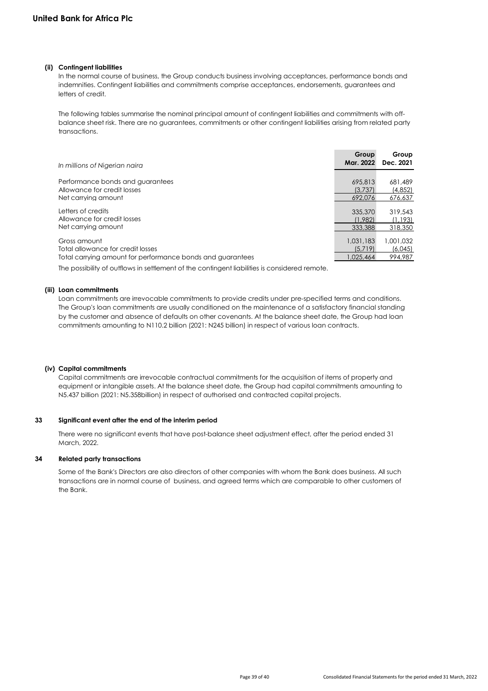# **(ii) Contingent liabilities**

In the normal course of business, the Group conducts business involving acceptances, performance bonds and indemnities. Contingent liabilities and commitments comprise acceptances, endorsements, guarantees and letters of credit.

The following tables summarise the nominal principal amount of contingent liabilities and commitments with offbalance sheet risk. There are no guarantees, commitments or other contingent liabilities arising from related party transactions.

| In millions of Nigerian naira                              | Group<br>Mar. 2022 | Group<br>Dec. 2021 |
|------------------------------------------------------------|--------------------|--------------------|
| Performance bonds and guarantees                           |                    |                    |
| Allowance for credit losses                                | 695,813<br>(3.737) | 681,489<br>(4,852) |
| Net carrying amount                                        | 692.076            | 676,637            |
|                                                            |                    |                    |
| Letters of credits                                         | 335,370            | 319,543            |
| Allowance for credit losses                                | (1.982)            | (1.193)            |
| Net carrying amount                                        | 333,388            | 318,350            |
| Gross amount                                               | 1.031.183          | 1.001.032          |
| Total allowance for credit losses                          | (5.719)            | (6,045)            |
| Total carrying amount for performance bonds and guarantees | 1,025,464          | 994,987            |
|                                                            |                    |                    |

The possibility of outflows in settlement of the contingent liabilities is considered remote.

# **(iii) Loan commitments**

Loan commitments are irrevocable commitments to provide credits under pre-specified terms and conditions. The Group's loan commitments are usually conditioned on the maintenance of a satisfactory financial standing by the customer and absence of defaults on other covenants. At the balance sheet date, the Group had loan commitments amounting to N110.2 billion (2021: N245 billion) in respect of various loan contracts.

### **(iv) Capital commitments**

Capital commitments are irrevocable contractual commitments for the acquisition of items of property and equipment or intangible assets. At the balance sheet date, the Group had capital commitments amounting to N5.437 billion (2021: N5.358billion) in respect of authorised and contracted capital projects.

# **33 Significant event after the end of the interim period**

There were no significant events that have post-balance sheet adjustment effect, after the period ended 31 March, 2022.

# **34 Related party transactions**

Some of the Bank's Directors are also directors of other companies with whom the Bank does business. All such transactions are in normal course of business, and agreed terms which are comparable to other customers of the Bank.